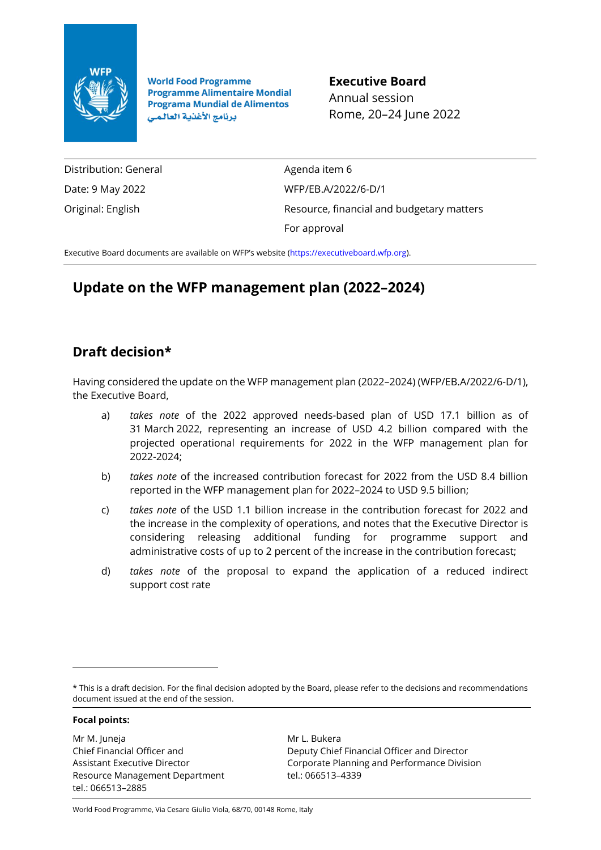

**World Food Programme Programme Alimentaire Mondial Programa Mundial de Alimentos** برنامج الأغذية العالمي

**Executive Board** Annual session Rome, 20–24 June 2022

Distribution: General Date: 9 May 2022 Original: English

Agenda item 6 WFP/EB.A/2022/6-D/1 Resource, financial and budgetary matters For approval

Executive Board documents are available on WFP's website [\(https://executiveboard.wfp.org\)](https://executiveboard.wfp.org/).

# **Update on the WFP management plan (2022–2024)**

# **Draft decision\***

Having considered the update on the WFP management plan (2022–2024) (WFP/EB.A/2022/6-D/1), the Executive Board,

- a) *takes note* of the 2022 approved needs-based plan of USD 17.1 billion as of 31 March 2022, representing an increase of USD 4.2 billion compared with the projected operational requirements for 2022 in the WFP management plan for 2022-2024;
- b) *takes note* of the increased contribution forecast for 2022 from the USD 8.4 billion reported in the WFP management plan for 2022–2024 to USD 9.5 billion;
- c) *takes note* of the USD 1.1 billion increase in the contribution forecast for 2022 and the increase in the complexity of operations, and notes that the Executive Director is considering releasing additional funding for programme support and administrative costs of up to 2 percent of the increase in the contribution forecast;
- d) *takes note* of the proposal to expand the application of a reduced indirect support cost rate

#### **Focal points:**

Mr M. Juneja Chief Financial Officer and Assistant Executive Director Resource Management Department tel.: 066513–2885

Mr L. Bukera Deputy Chief Financial Officer and Director Corporate Planning and Performance Division tel.: 066513–4339

World Food Programme, Via Cesare Giulio Viola, 68/70, 00148 Rome, Italy

<sup>\*</sup> This is a draft decision. For the final decision adopted by the Board, please refer to the decisions and recommendations document issued at the end of the session.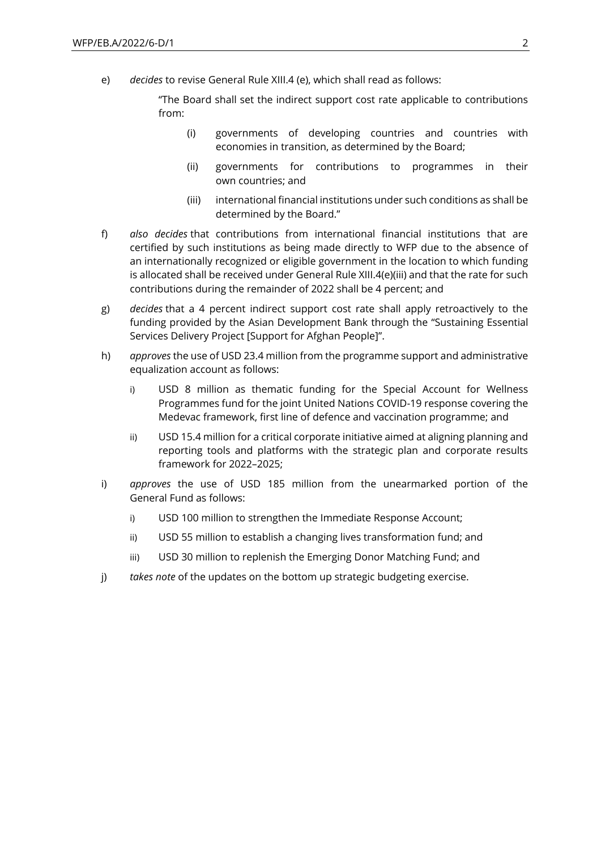e) *decides* to revise General Rule XIII.4 (e), which shall read as follows:

"The Board shall set the indirect support cost rate applicable to contributions from:

- (i) governments of developing countries and countries with economies in transition, as determined by the Board;
- (ii) governments for contributions to programmes in their own countries; and
- (iii) international financial institutions under such conditions as shall be determined by the Board."
- f) *also decides* that contributions from international financial institutions that are certified by such institutions as being made directly to WFP due to the absence of an internationally recognized or eligible government in the location to which funding is allocated shall be received under General Rule XIII.4(e)(iii) and that the rate for such contributions during the remainder of 2022 shall be 4 percent; and
- g) *decides* that a 4 percent indirect support cost rate shall apply retroactively to the funding provided by the Asian Development Bank through the "Sustaining Essential Services Delivery Project [Support for Afghan People]".
- h) *approves* the use of USD 23.4 million from the programme support and administrative equalization account as follows:
	- i) USD 8 million as thematic funding for the Special Account for Wellness Programmes fund for the joint United Nations COVID-19 response covering the Medevac framework, first line of defence and vaccination programme; and
	- ii) USD 15.4 million for a critical corporate initiative aimed at aligning planning and reporting tools and platforms with the strategic plan and corporate results framework for 2022–2025;
- i) *approves* the use of USD 185 million from the unearmarked portion of the General Fund as follows:
	- i) USD 100 million to strengthen the Immediate Response Account;
	- ii) USD 55 million to establish a changing lives transformation fund; and
	- iii) USD 30 million to replenish the Emerging Donor Matching Fund; and
- j) *takes note* of the updates on the bottom up strategic budgeting exercise.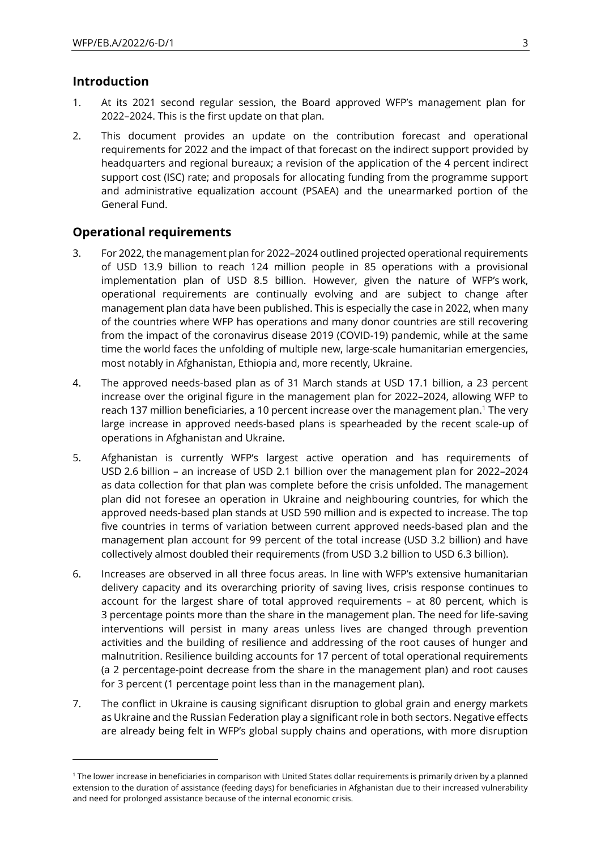# **Introduction**

- 1. At its 2021 second regular session, the Board approved WFP's management plan for 2022–2024. This is the first update on that plan.
- 2. This document provides an update on the contribution forecast and operational requirements for 2022 and the impact of that forecast on the indirect support provided by headquarters and regional bureaux; a revision of the application of the 4 percent indirect support cost (ISC) rate; and proposals for allocating funding from the programme support and administrative equalization account (PSAEA) and the unearmarked portion of the General Fund.

# **Operational requirements**

- 3. For 2022, the management plan for 2022–2024 outlined projected operational requirements of USD 13.9 billion to reach 124 million people in 85 operations with a provisional implementation plan of USD 8.5 billion. However, given the nature of WFP's work, operational requirements are continually evolving and are subject to change after management plan data have been published. This is especially the case in 2022, when many of the countries where WFP has operations and many donor countries are still recovering from the impact of the coronavirus disease 2019 (COVID-19) pandemic, while at the same time the world faces the unfolding of multiple new, large-scale humanitarian emergencies, most notably in Afghanistan, Ethiopia and, more recently, Ukraine.
- 4. The approved needs-based plan as of 31 March stands at USD 17.1 billion, a 23 percent increase over the original figure in the management plan for 2022–2024, allowing WFP to reach 137 million beneficiaries, a 10 percent increase over the management plan.<sup>1</sup> The very large increase in approved needs-based plans is spearheaded by the recent scale-up of operations in Afghanistan and Ukraine.
- 5. Afghanistan is currently WFP's largest active operation and has requirements of USD 2.6 billion – an increase of USD 2.1 billion over the management plan for 2022–2024 as data collection for that plan was complete before the crisis unfolded. The management plan did not foresee an operation in Ukraine and neighbouring countries, for which the approved needs-based plan stands at USD 590 million and is expected to increase. The top five countries in terms of variation between current approved needs-based plan and the management plan account for 99 percent of the total increase (USD 3.2 billion) and have collectively almost doubled their requirements (from USD 3.2 billion to USD 6.3 billion).
- 6. Increases are observed in all three focus areas. In line with WFP's extensive humanitarian delivery capacity and its overarching priority of saving lives, crisis response continues to account for the largest share of total approved requirements – at 80 percent, which is 3 percentage points more than the share in the management plan. The need for life-saving interventions will persist in many areas unless lives are changed through prevention activities and the building of resilience and addressing of the root causes of hunger and malnutrition. Resilience building accounts for 17 percent of total operational requirements (a 2 percentage-point decrease from the share in the management plan) and root causes for 3 percent (1 percentage point less than in the management plan).
- 7. The conflict in Ukraine is causing significant disruption to global grain and energy markets as Ukraine and the Russian Federation play a significant role in both sectors. Negative effects are already being felt in WFP's global supply chains and operations, with more disruption

<sup>1</sup> The lower increase in beneficiaries in comparison with United States dollar requirements is primarily driven by a planned extension to the duration of assistance (feeding days) for beneficiaries in Afghanistan due to their increased vulnerability and need for prolonged assistance because of the internal economic crisis.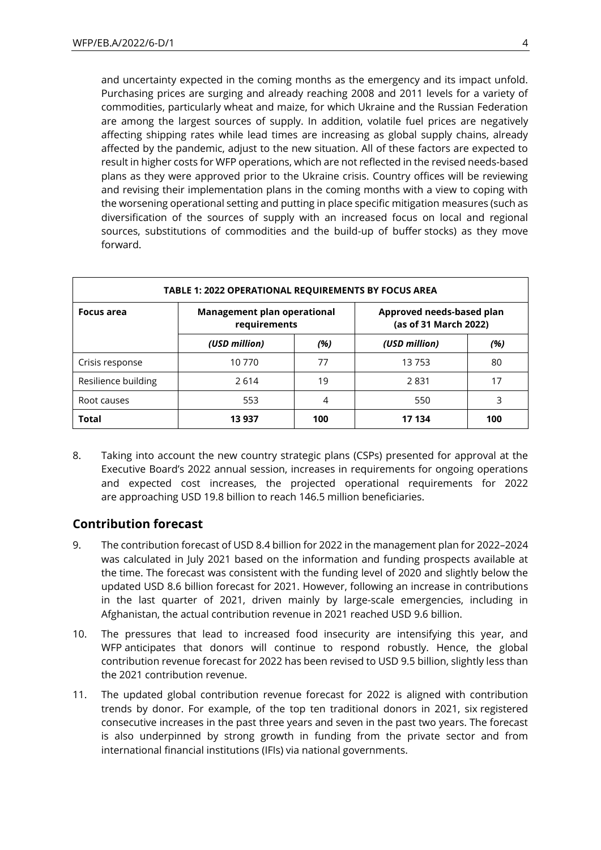and uncertainty expected in the coming months as the emergency and its impact unfold. Purchasing prices are surging and already reaching 2008 and 2011 levels for a variety of commodities, particularly wheat and maize, for which Ukraine and the Russian Federation are among the largest sources of supply. In addition, volatile fuel prices are negatively affecting shipping rates while lead times are increasing as global supply chains, already affected by the pandemic, adjust to the new situation. All of these factors are expected to result in higher costs for WFP operations, which are not reflected in the revised needs-based plans as they were approved prior to the Ukraine crisis. Country offices will be reviewing and revising their implementation plans in the coming months with a view to coping with the worsening operational setting and putting in place specific mitigation measures (such as diversification of the sources of supply with an increased focus on local and regional sources, substitutions of commodities and the build-up of buffer stocks) as they move forward.

| <b>TABLE 1: 2022 OPERATIONAL REQUIREMENTS BY FOCUS AREA</b> |                                                                                                          |    |       |    |  |  |
|-------------------------------------------------------------|----------------------------------------------------------------------------------------------------------|----|-------|----|--|--|
| <b>Focus area</b>                                           | Approved needs-based plan<br><b>Management plan operational</b><br>(as of 31 March 2022)<br>requirements |    |       |    |  |  |
|                                                             | (USD million)<br>(USD million)<br>(%)                                                                    |    |       |    |  |  |
| Crisis response                                             | 10 770                                                                                                   | 77 | 13753 | 80 |  |  |
| Resilience building                                         | 2614                                                                                                     | 19 | 2831  | 17 |  |  |
| Root causes                                                 | 553                                                                                                      |    | 550   | 3  |  |  |
| <b>Total</b><br>100<br>13 937<br>17 134<br>100              |                                                                                                          |    |       |    |  |  |

8. Taking into account the new country strategic plans (CSPs) presented for approval at the Executive Board's 2022 annual session, increases in requirements for ongoing operations and expected cost increases, the projected operational requirements for 2022 are approaching USD 19.8 billion to reach 146.5 million beneficiaries.

# **Contribution forecast**

- 9. The contribution forecast of USD 8.4 billion for 2022 in the management plan for 2022–2024 was calculated in July 2021 based on the information and funding prospects available at the time. The forecast was consistent with the funding level of 2020 and slightly below the updated USD 8.6 billion forecast for 2021. However, following an increase in contributions in the last quarter of 2021, driven mainly by large-scale emergencies, including in Afghanistan, the actual contribution revenue in 2021 reached USD 9.6 billion.
- 10. The pressures that lead to increased food insecurity are intensifying this year, and WFP anticipates that donors will continue to respond robustly. Hence, the global contribution revenue forecast for 2022 has been revised to USD 9.5 billion, slightly less than the 2021 contribution revenue.
- 11. The updated global contribution revenue forecast for 2022 is aligned with contribution trends by donor. For example, of the top ten traditional donors in 2021, six registered consecutive increases in the past three years and seven in the past two years. The forecast is also underpinned by strong growth in funding from the private sector and from international financial institutions (IFIs) via national governments.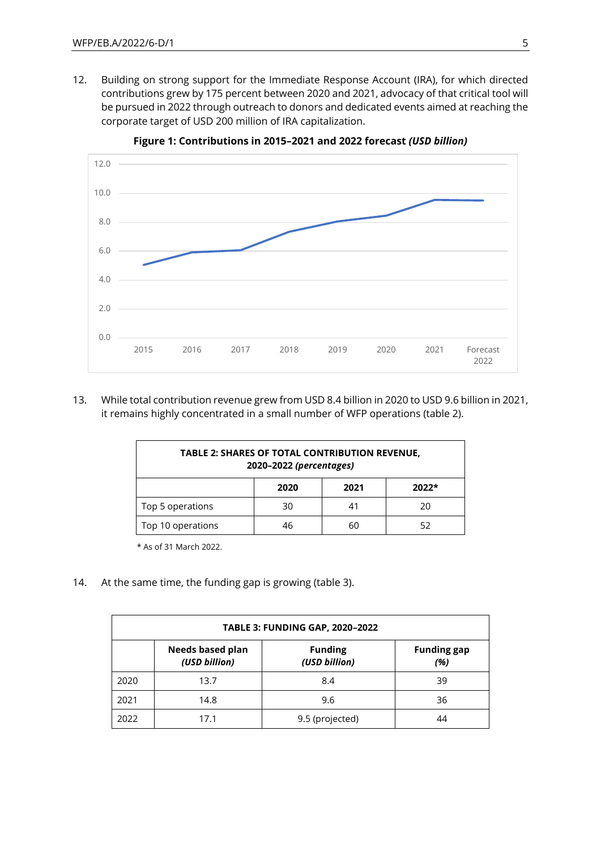12. Building on strong support for the Immediate Response Account (IRA), for which directed contributions grew by 175 percent between 2020 and 2021, advocacy of that critical tool will be pursued in 2022 through outreach to donors and dedicated events aimed at reaching the corporate target of USD 200 million of IRA capitalization.



**Figure 1: Contributions in 2015–2021 and 2022 forecast** *(USD billion)*

13. While total contribution revenue grew from USD 8.4 billion in 2020 to USD 9.6 billion in 2021, it remains highly concentrated in a small number of WFP operations (table 2).

| <b>TABLE 2: SHARES OF TOTAL CONTRIBUTION REVENUE,</b><br>2020-2022 (percentages) |    |  |    |  |  |  |
|----------------------------------------------------------------------------------|----|--|----|--|--|--|
| $2022*$<br>2020<br>2021                                                          |    |  |    |  |  |  |
| Top 5 operations                                                                 | 30 |  | 20 |  |  |  |
| Top 10 operations<br>52<br>46<br>60                                              |    |  |    |  |  |  |

\* As of 31 March 2022.

14. At the same time, the funding gap is growing (table 3).

| <b>TABLE 3: FUNDING GAP, 2020-2022</b>                                                            |      |                 |    |  |  |  |
|---------------------------------------------------------------------------------------------------|------|-----------------|----|--|--|--|
| Needs based plan<br><b>Funding gap</b><br><b>Funding</b><br>(USD billion)<br>(USD billion)<br>(%) |      |                 |    |  |  |  |
| 2020                                                                                              | 13.7 | 8.4             | 39 |  |  |  |
| 2021                                                                                              | 14.8 | 9.6             | 36 |  |  |  |
| 2022                                                                                              | 17.1 | 9.5 (projected) | 44 |  |  |  |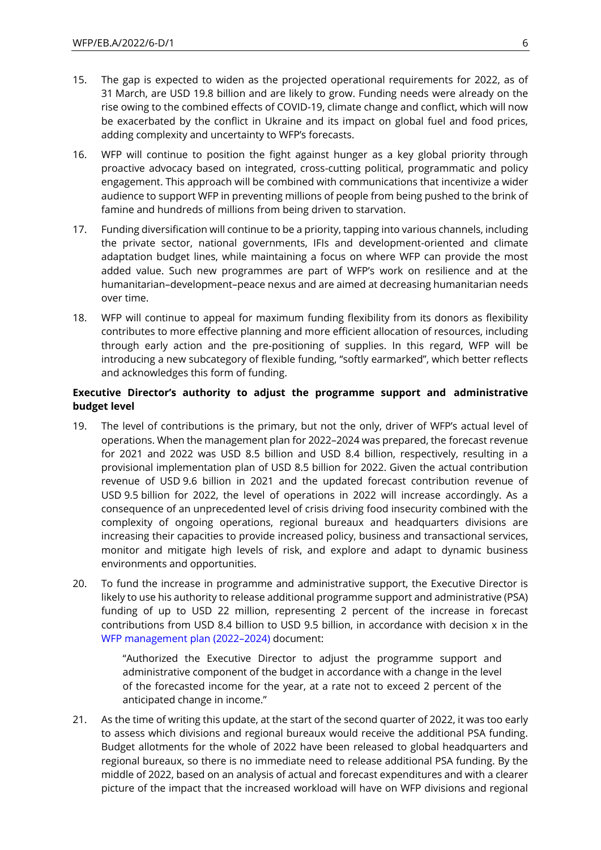- 15. The gap is expected to widen as the projected operational requirements for 2022, as of 31 March, are USD 19.8 billion and are likely to grow. Funding needs were already on the rise owing to the combined effects of COVID-19, climate change and conflict, which will now be exacerbated by the conflict in Ukraine and its impact on global fuel and food prices, adding complexity and uncertainty to WFP's forecasts.
- 16. WFP will continue to position the fight against hunger as a key global priority through proactive advocacy based on integrated, cross-cutting political, programmatic and policy engagement. This approach will be combined with communications that incentivize a wider audience to support WFP in preventing millions of people from being pushed to the brink of famine and hundreds of millions from being driven to starvation.
- 17. Funding diversification will continue to be a priority, tapping into various channels, including the private sector, national governments, IFIs and development-oriented and climate adaptation budget lines, while maintaining a focus on where WFP can provide the most added value. Such new programmes are part of WFP's work on resilience and at the humanitarian–development–peace nexus and are aimed at decreasing humanitarian needs over time.
- 18. WFP will continue to appeal for maximum funding flexibility from its donors as flexibility contributes to more effective planning and more efficient allocation of resources, including through early action and the pre-positioning of supplies. In this regard, WFP will be introducing a new subcategory of flexible funding, "softly earmarked", which better reflects and acknowledges this form of funding.

### **Executive Director's authority to adjust the programme support and administrative budget level**

- 19. The level of contributions is the primary, but not the only, driver of WFP's actual level of operations. When the management plan for 2022–2024 was prepared, the forecast revenue for 2021 and 2022 was USD 8.5 billion and USD 8.4 billion, respectively, resulting in a provisional implementation plan of USD 8.5 billion for 2022. Given the actual contribution revenue of USD 9.6 billion in 2021 and the updated forecast contribution revenue of USD 9.5 billion for 2022, the level of operations in 2022 will increase accordingly. As a consequence of an unprecedented level of crisis driving food insecurity combined with the complexity of ongoing operations, regional bureaux and headquarters divisions are increasing their capacities to provide increased policy, business and transactional services, monitor and mitigate high levels of risk, and explore and adapt to dynamic business environments and opportunities.
- 20. To fund the increase in programme and administrative support, the Executive Director is likely to use his authority to release additional programme support and administrative (PSA) funding of up to USD 22 million, representing 2 percent of the increase in forecast contributions from USD 8.4 billion to USD 9.5 billion, in accordance with decision x in the [WFP management plan \(2022](https://docs.wfp.org/api/documents/WFP-0000132209/download/)–2024) document:

"Authorized the Executive Director to adjust the programme support and administrative component of the budget in accordance with a change in the level of the forecasted income for the year, at a rate not to exceed 2 percent of the anticipated change in income."

21. As the time of writing this update, at the start of the second quarter of 2022, it was too early to assess which divisions and regional bureaux would receive the additional PSA funding. Budget allotments for the whole of 2022 have been released to global headquarters and regional bureaux, so there is no immediate need to release additional PSA funding. By the middle of 2022, based on an analysis of actual and forecast expenditures and with a clearer picture of the impact that the increased workload will have on WFP divisions and regional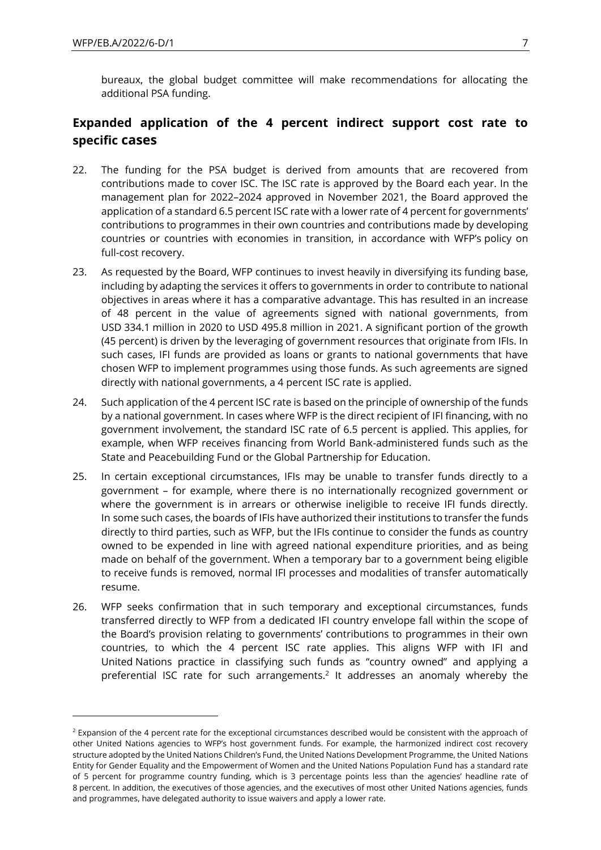bureaux, the global budget committee will make recommendations for allocating the additional PSA funding.

# **Expanded application of the 4 percent indirect support cost rate to specific cases**

- 22. The funding for the PSA budget is derived from amounts that are recovered from contributions made to cover ISC. The ISC rate is approved by the Board each year. In the management plan for 2022–2024 approved in November 2021, the Board approved the application of a standard 6.5 percent ISC rate with a lower rate of 4 percent for governments' contributions to programmes in their own countries and contributions made by developing countries or countries with economies in transition, in accordance with WFP's policy on full-cost recovery.
- 23. As requested by the Board, WFP continues to invest heavily in diversifying its funding base, including by adapting the services it offers to governments in order to contribute to national objectives in areas where it has a comparative advantage. This has resulted in an increase of 48 percent in the value of agreements signed with national governments, from USD 334.1 million in 2020 to USD 495.8 million in 2021. A significant portion of the growth (45 percent) is driven by the leveraging of government resources that originate from IFIs. In such cases, IFI funds are provided as loans or grants to national governments that have chosen WFP to implement programmes using those funds. As such agreements are signed directly with national governments, a 4 percent ISC rate is applied.
- 24. Such application of the 4 percent ISC rate is based on the principle of ownership of the funds by a national government. In cases where WFP is the direct recipient of IFI financing, with no government involvement, the standard ISC rate of 6.5 percent is applied. This applies, for example, when WFP receives financing from World Bank-administered funds such as the State and Peacebuilding Fund or the Global Partnership for Education.
- 25. In certain exceptional circumstances, IFIs may be unable to transfer funds directly to a government – for example, where there is no internationally recognized government or where the government is in arrears or otherwise ineligible to receive IFI funds directly. In some such cases, the boards of IFIs have authorized their institutions to transfer the funds directly to third parties, such as WFP, but the IFIs continue to consider the funds as country owned to be expended in line with agreed national expenditure priorities, and as being made on behalf of the government. When a temporary bar to a government being eligible to receive funds is removed, normal IFI processes and modalities of transfer automatically resume.
- 26. WFP seeks confirmation that in such temporary and exceptional circumstances, funds transferred directly to WFP from a dedicated IFI country envelope fall within the scope of the Board's provision relating to governments' contributions to programmes in their own countries, to which the 4 percent ISC rate applies. This aligns WFP with IFI and United Nations practice in classifying such funds as "country owned" and applying a preferential ISC rate for such arrangements.<sup>2</sup> It addresses an anomaly whereby the

 $2$  Expansion of the 4 percent rate for the exceptional circumstances described would be consistent with the approach of other United Nations agencies to WFP's host government funds. For example, the harmonized indirect cost recovery structure adopted by the United Nations Children's Fund, the United Nations Development Programme, the United Nations Entity for Gender Equality and the Empowerment of Women and the United Nations Population Fund has a standard rate of 5 percent for programme country funding, which is 3 percentage points less than the agencies' headline rate of 8 percent. In addition, the executives of those agencies, and the executives of most other United Nations agencies, funds and programmes, have delegated authority to issue waivers and apply a lower rate.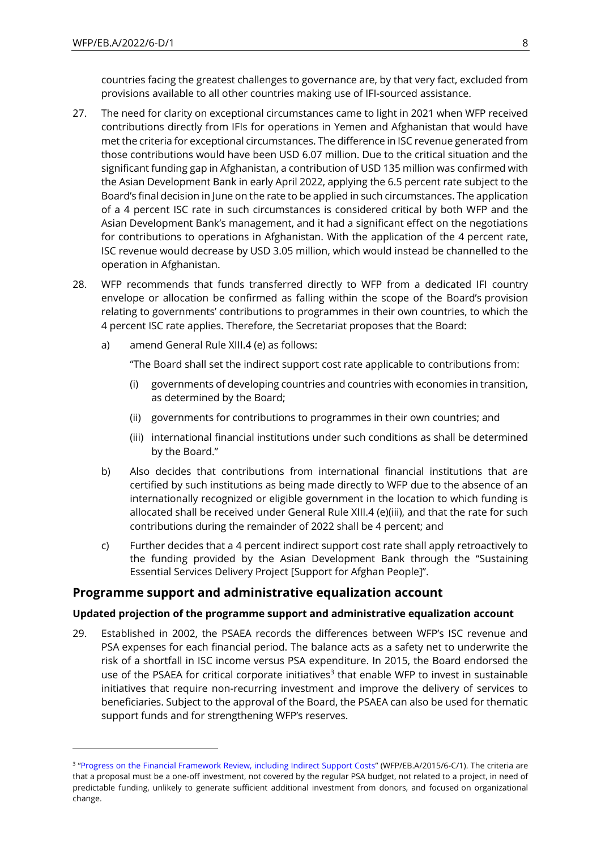countries facing the greatest challenges to governance are, by that very fact, excluded from provisions available to all other countries making use of IFI-sourced assistance.

- 27. The need for clarity on exceptional circumstances came to light in 2021 when WFP received contributions directly from IFIs for operations in Yemen and Afghanistan that would have met the criteria for exceptional circumstances. The difference in ISC revenue generated from those contributions would have been USD 6.07 million. Due to the critical situation and the significant funding gap in Afghanistan, a contribution of USD 135 million was confirmed with the Asian Development Bank in early April 2022, applying the 6.5 percent rate subject to the Board's final decision in June on the rate to be applied in such circumstances. The application of a 4 percent ISC rate in such circumstances is considered critical by both WFP and the Asian Development Bank's management, and it had a significant effect on the negotiations for contributions to operations in Afghanistan. With the application of the 4 percent rate, ISC revenue would decrease by USD 3.05 million, which would instead be channelled to the operation in Afghanistan.
- 28. WFP recommends that funds transferred directly to WFP from a dedicated IFI country envelope or allocation be confirmed as falling within the scope of the Board's provision relating to governments' contributions to programmes in their own countries, to which the 4 percent ISC rate applies. Therefore, the Secretariat proposes that the Board:
	- a) amend General Rule XIII.4 (e) as follows:

"The Board shall set the indirect support cost rate applicable to contributions from:

- (i) governments of developing countries and countries with economies in transition, as determined by the Board;
- (ii) governments for contributions to programmes in their own countries; and
- (iii) international financial institutions under such conditions as shall be determined by the Board."
- b) Also decides that contributions from international financial institutions that are certified by such institutions as being made directly to WFP due to the absence of an internationally recognized or eligible government in the location to which funding is allocated shall be received under General Rule XIII.4 (e)(iii), and that the rate for such contributions during the remainder of 2022 shall be 4 percent; and
- c) Further decides that a 4 percent indirect support cost rate shall apply retroactively to the funding provided by the Asian Development Bank through the "Sustaining Essential Services Delivery Project [Support for Afghan People]".

# **Programme support and administrative equalization account**

### **Updated projection of the programme support and administrative equalization account**

29. Established in 2002, the PSAEA records the differences between WFP's ISC revenue and PSA expenses for each financial period. The balance acts as a safety net to underwrite the risk of a shortfall in ISC income versus PSA expenditure. In 2015, the Board endorsed the use of the PSAEA for critical corporate initiatives<sup>3</sup> that enable WFP to invest in sustainable initiatives that require non-recurring investment and improve the delivery of services to beneficiaries. Subject to the approval of the Board, the PSAEA can also be used for thematic support funds and for strengthening WFP's reserves.

<sup>&</sup>lt;sup>3</sup> "[Progress on the Financial Framework Review, including Indirect Support Costs](https://executiveboard.wfp.org/document_download/WFP-0000024523)" (WFP/EB.A/2015/6-C/1). The criteria are that a proposal must be a one-off investment, not covered by the regular PSA budget, not related to a project, in need of predictable funding, unlikely to generate sufficient additional investment from donors, and focused on organizational change.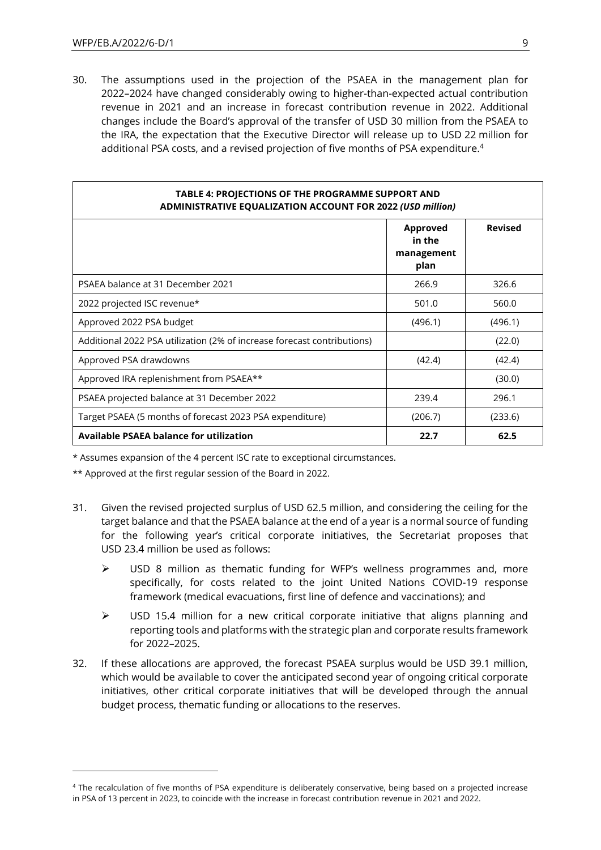30. The assumptions used in the projection of the PSAEA in the management plan for 2022–2024 have changed considerably owing to higher-than-expected actual contribution revenue in 2021 and an increase in forecast contribution revenue in 2022. Additional changes include the Board's approval of the transfer of USD 30 million from the PSAEA to the IRA, the expectation that the Executive Director will release up to USD 22 million for additional PSA costs, and a revised projection of five months of PSA expenditure.<sup>4</sup>

| TABLE 4: PROJECTIONS OF THE PROGRAMME SUPPORT AND<br>ADMINISTRATIVE EQUALIZATION ACCOUNT FOR 2022 (USD million) |                                          |                |  |  |  |  |  |
|-----------------------------------------------------------------------------------------------------------------|------------------------------------------|----------------|--|--|--|--|--|
|                                                                                                                 | Approved<br>in the<br>management<br>plan | <b>Revised</b> |  |  |  |  |  |
| PSAEA balance at 31 December 2021                                                                               | 266.9                                    | 326.6          |  |  |  |  |  |
| 2022 projected ISC revenue*                                                                                     | 501.0                                    | 560.0          |  |  |  |  |  |
| Approved 2022 PSA budget                                                                                        | (496.1)                                  | (496.1)        |  |  |  |  |  |
| Additional 2022 PSA utilization (2% of increase forecast contributions)                                         |                                          | (22.0)         |  |  |  |  |  |
| Approved PSA drawdowns                                                                                          | (42.4)                                   | (42.4)         |  |  |  |  |  |
| Approved IRA replenishment from PSAEA**                                                                         |                                          | (30.0)         |  |  |  |  |  |
| PSAEA projected balance at 31 December 2022                                                                     | 239.4                                    | 296.1          |  |  |  |  |  |
| Target PSAEA (5 months of forecast 2023 PSA expenditure)                                                        | (206.7)                                  | (233.6)        |  |  |  |  |  |
| Available PSAEA balance for utilization                                                                         | 22.7                                     | 62.5           |  |  |  |  |  |

\* Assumes expansion of the 4 percent ISC rate to exceptional circumstances.

\*\* Approved at the first regular session of the Board in 2022.

- 31. Given the revised projected surplus of USD 62.5 million, and considering the ceiling for the target balance and that the PSAEA balance at the end of a year is a normal source of funding for the following year's critical corporate initiatives, the Secretariat proposes that USD 23.4 million be used as follows:
	- ➢ USD 8 million as thematic funding for WFP's wellness programmes and, more specifically, for costs related to the joint United Nations COVID-19 response framework (medical evacuations, first line of defence and vaccinations); and
	- $\triangleright$  USD 15.4 million for a new critical corporate initiative that aligns planning and reporting tools and platforms with the strategic plan and corporate results framework for 2022–2025.
- 32. If these allocations are approved, the forecast PSAEA surplus would be USD 39.1 million, which would be available to cover the anticipated second year of ongoing critical corporate initiatives, other critical corporate initiatives that will be developed through the annual budget process, thematic funding or allocations to the reserves.

<sup>4</sup> The recalculation of five months of PSA expenditure is deliberately conservative, being based on a projected increase in PSA of 13 percent in 2023, to coincide with the increase in forecast contribution revenue in 2021 and 2022.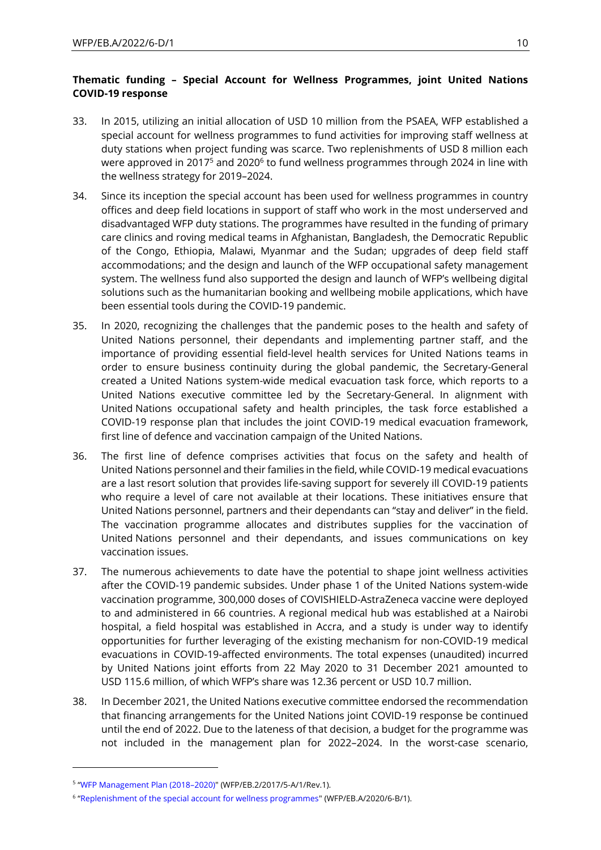# **Thematic funding – Special Account for Wellness Programmes, joint United Nations COVID-19 response**

- 33. In 2015, utilizing an initial allocation of USD 10 million from the PSAEA, WFP established a special account for wellness programmes to fund activities for improving staff wellness at duty stations when project funding was scarce. Two replenishments of USD 8 million each were approved in 2017 $^5$  and 2020 $^6$  to fund wellness programmes through 2024 in line with the wellness strategy for 2019–2024.
- 34. Since its inception the special account has been used for wellness programmes in country offices and deep field locations in support of staff who work in the most underserved and disadvantaged WFP duty stations. The programmes have resulted in the funding of primary care clinics and roving medical teams in Afghanistan, Bangladesh, the Democratic Republic of the Congo, Ethiopia, Malawi, Myanmar and the Sudan; upgrades of deep field staff accommodations; and the design and launch of the WFP occupational safety management system. The wellness fund also supported the design and launch of WFP's wellbeing digital solutions such as the humanitarian booking and wellbeing mobile applications, which have been essential tools during the COVID-19 pandemic.
- 35. In 2020, recognizing the challenges that the pandemic poses to the health and safety of United Nations personnel, their dependants and implementing partner staff, and the importance of providing essential field-level health services for United Nations teams in order to ensure business continuity during the global pandemic, the Secretary-General created a United Nations system-wide medical evacuation task force, which reports to a United Nations executive committee led by the Secretary-General. In alignment with United Nations occupational safety and health principles, the task force established a COVID-19 response plan that includes the joint COVID-19 medical evacuation framework, first line of defence and vaccination campaign of the United Nations.
- 36. The first line of defence comprises activities that focus on the safety and health of United Nations personnel and their families in the field, while COVID-19 medical evacuations are a last resort solution that provides life-saving support for severely ill COVID-19 patients who require a level of care not available at their locations. These initiatives ensure that United Nations personnel, partners and their dependants can "stay and deliver" in the field. The vaccination programme allocates and distributes supplies for the vaccination of United Nations personnel and their dependants, and issues communications on key vaccination issues.
- 37. The numerous achievements to date have the potential to shape joint wellness activities after the COVID-19 pandemic subsides. Under phase 1 of the United Nations system-wide vaccination programme, 300,000 doses of COVISHIELD-AstraZeneca vaccine were deployed to and administered in 66 countries. A regional medical hub was established at a Nairobi hospital, a field hospital was established in Accra, and a study is under way to identify opportunities for further leveraging of the existing mechanism for non-COVID-19 medical evacuations in COVID-19-affected environments. The total expenses (unaudited) incurred by United Nations joint efforts from 22 May 2020 to 31 December 2021 amounted to USD 115.6 million, of which WFP's share was 12.36 percent or USD 10.7 million.
- 38. In December 2021, the United Nations executive committee endorsed the recommendation that financing arrangements for the United Nations joint COVID-19 response be continued until the end of 2022. Due to the lateness of that decision, a budget for the programme was not included in the management plan for 2022–2024. In the worst-case scenario,

<sup>5</sup> "[WFP Management Plan \(2018](https://executiveboard.wfp.org/document_download/WFP-0000050529)–2020)" (WFP/EB.2/2017/5-A/1/Rev.1).

<sup>6</sup> "[Replenishment of the special account for wellness programmes"](https://docs.wfp.org/api/documents/WFP-0000115535/download/) (WFP/EB.A/2020/6-B/1).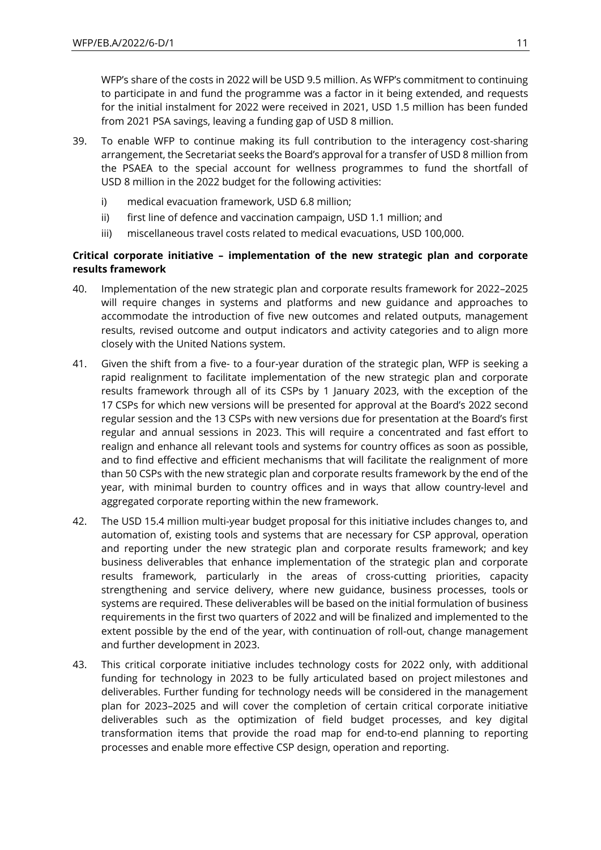WFP's share of the costs in 2022 will be USD 9.5 million. As WFP's commitment to continuing to participate in and fund the programme was a factor in it being extended, and requests for the initial instalment for 2022 were received in 2021, USD 1.5 million has been funded from 2021 PSA savings, leaving a funding gap of USD 8 million.

- 39. To enable WFP to continue making its full contribution to the interagency cost-sharing arrangement, the Secretariat seeks the Board's approval for a transfer of USD 8 million from the PSAEA to the special account for wellness programmes to fund the shortfall of USD 8 million in the 2022 budget for the following activities:
	- i) medical evacuation framework, USD 6.8 million;
	- ii) first line of defence and vaccination campaign, USD 1.1 million; and
	- iii) miscellaneous travel costs related to medical evacuations, USD 100,000.

### **Critical corporate initiative – implementation of the new strategic plan and corporate results framework**

- 40. Implementation of the new strategic plan and corporate results framework for 2022–2025 will require changes in systems and platforms and new guidance and approaches to accommodate the introduction of five new outcomes and related outputs, management results, revised outcome and output indicators and activity categories and to align more closely with the United Nations system.
- 41. Given the shift from a five- to a four-year duration of the strategic plan, WFP is seeking a rapid realignment to facilitate implementation of the new strategic plan and corporate results framework through all of its CSPs by 1 January 2023, with the exception of the 17 CSPs for which new versions will be presented for approval at the Board's 2022 second regular session and the 13 CSPs with new versions due for presentation at the Board's first regular and annual sessions in 2023. This will require a concentrated and fast effort to realign and enhance all relevant tools and systems for country offices as soon as possible, and to find effective and efficient mechanisms that will facilitate the realignment of more than 50 CSPs with the new strategic plan and corporate results framework by the end of the year, with minimal burden to country offices and in ways that allow country-level and aggregated corporate reporting within the new framework.
- 42. The USD 15.4 million multi-year budget proposal for this initiative includes changes to, and automation of, existing tools and systems that are necessary for CSP approval, operation and reporting under the new strategic plan and corporate results framework; and key business deliverables that enhance implementation of the strategic plan and corporate results framework, particularly in the areas of cross-cutting priorities, capacity strengthening and service delivery, where new guidance, business processes, tools or systems are required. These deliverables will be based on the initial formulation of business requirements in the first two quarters of 2022 and will be finalized and implemented to the extent possible by the end of the year, with continuation of roll-out, change management and further development in 2023.
- 43. This critical corporate initiative includes technology costs for 2022 only, with additional funding for technology in 2023 to be fully articulated based on project milestones and deliverables. Further funding for technology needs will be considered in the management plan for 2023–2025 and will cover the completion of certain critical corporate initiative deliverables such as the optimization of field budget processes, and key digital transformation items that provide the road map for end-to-end planning to reporting processes and enable more effective CSP design, operation and reporting.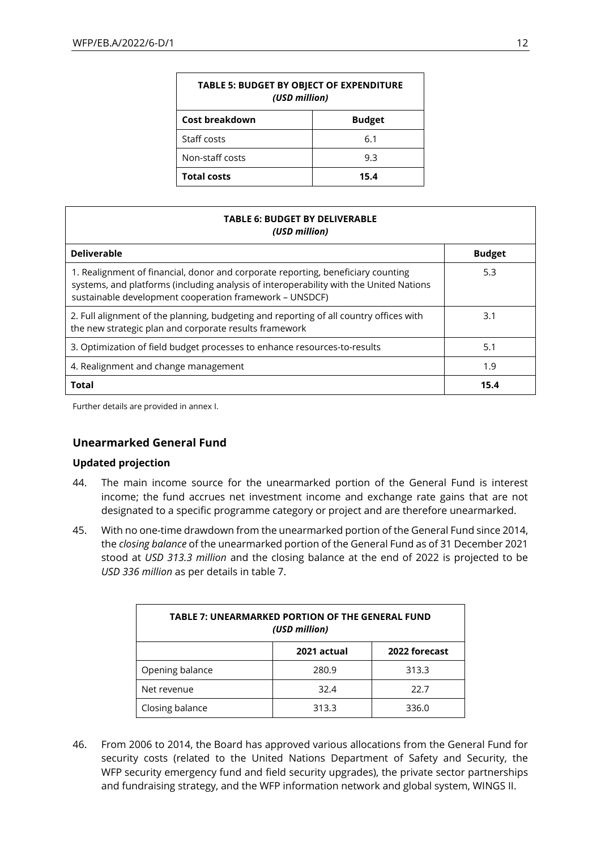| <b>TABLE 5: BUDGET BY OBJECT OF EXPENDITURE</b><br>(USD million) |               |  |  |  |
|------------------------------------------------------------------|---------------|--|--|--|
| Cost breakdown                                                   | <b>Budget</b> |  |  |  |
| Staff costs                                                      | 6.1           |  |  |  |
| Non-staff costs<br>9.3                                           |               |  |  |  |
| <b>Total costs</b><br>15.4                                       |               |  |  |  |

| <b>TABLE 6: BUDGET BY DELIVERABLE</b><br>(USD million)                                                                                                                                                                                |               |  |  |  |  |
|---------------------------------------------------------------------------------------------------------------------------------------------------------------------------------------------------------------------------------------|---------------|--|--|--|--|
| <b>Deliverable</b>                                                                                                                                                                                                                    | <b>Budget</b> |  |  |  |  |
| 1. Realignment of financial, donor and corporate reporting, beneficiary counting<br>systems, and platforms (including analysis of interoperability with the United Nations<br>sustainable development cooperation framework - UNSDCF) | 5.3           |  |  |  |  |
| 2. Full alignment of the planning, budgeting and reporting of all country offices with<br>the new strategic plan and corporate results framework                                                                                      | 3.1           |  |  |  |  |
| 3. Optimization of field budget processes to enhance resources-to-results                                                                                                                                                             | 5.1           |  |  |  |  |
| 4. Realignment and change management                                                                                                                                                                                                  | 1.9           |  |  |  |  |
| <b>Total</b>                                                                                                                                                                                                                          | 15.4          |  |  |  |  |

Further details are provided in annex I.

### **Unearmarked General Fund**

#### **Updated projection**

- 44. The main income source for the unearmarked portion of the General Fund is interest income; the fund accrues net investment income and exchange rate gains that are not designated to a specific programme category or project and are therefore unearmarked.
- 45. With no one-time drawdown from the unearmarked portion of the General Fund since 2014, the *closing balance* of the unearmarked portion of the General Fund as of 31 December 2021 stood at *USD 313.3 million* and the closing balance at the end of 2022 is projected to be *USD 336 million* as per details in table 7.

| <b>TABLE 7: UNEARMARKED PORTION OF THE GENERAL FUND</b><br>(USD million) |       |       |  |  |  |  |
|--------------------------------------------------------------------------|-------|-------|--|--|--|--|
| 2022 forecast<br>2021 actual                                             |       |       |  |  |  |  |
| Opening balance                                                          | 280.9 | 313.3 |  |  |  |  |
| Net revenue                                                              | 32.4  | 22.7  |  |  |  |  |
| Closing balance<br>313.3<br>336.0                                        |       |       |  |  |  |  |

46. From 2006 to 2014, the Board has approved various allocations from the General Fund for security costs (related to the United Nations Department of Safety and Security, the WFP security emergency fund and field security upgrades), the private sector partnerships and fundraising strategy, and the WFP information network and global system, WINGS II.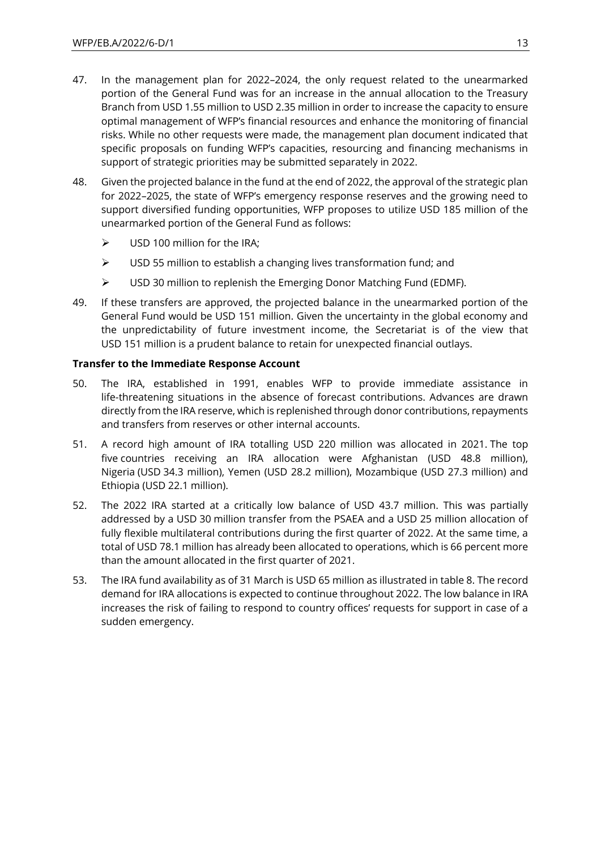- 47. In the management plan for 2022–2024, the only request related to the unearmarked portion of the General Fund was for an increase in the annual allocation to the Treasury Branch from USD 1.55 million to USD 2.35 million in order to increase the capacity to ensure optimal management of WFP's financial resources and enhance the monitoring of financial risks. While no other requests were made, the management plan document indicated that specific proposals on funding WFP's capacities, resourcing and financing mechanisms in support of strategic priorities may be submitted separately in 2022.
- 48. Given the projected balance in the fund at the end of 2022, the approval of the strategic plan for 2022–2025, the state of WFP's emergency response reserves and the growing need to support diversified funding opportunities, WFP proposes to utilize USD 185 million of the unearmarked portion of the General Fund as follows:
	- $\triangleright$  USD 100 million for the IRA;
	- $\triangleright$  USD 55 million to establish a changing lives transformation fund: and
	- $\triangleright$  USD 30 million to replenish the Emerging Donor Matching Fund (EDMF).
- 49. If these transfers are approved, the projected balance in the unearmarked portion of the General Fund would be USD 151 million. Given the uncertainty in the global economy and the unpredictability of future investment income, the Secretariat is of the view that USD 151 million is a prudent balance to retain for unexpected financial outlays.

#### **Transfer to the Immediate Response Account**

- 50. The IRA, established in 1991, enables WFP to provide immediate assistance in life-threatening situations in the absence of forecast contributions. Advances are drawn directly from the IRA reserve, which is replenished through donor contributions, repayments and transfers from reserves or other internal accounts.
- 51. A record high amount of IRA totalling USD 220 million was allocated in 2021. The top five countries receiving an IRA allocation were Afghanistan (USD 48.8 million), Nigeria (USD 34.3 million), Yemen (USD 28.2 million), Mozambique (USD 27.3 million) and Ethiopia (USD 22.1 million).
- 52. The 2022 IRA started at a critically low balance of USD 43.7 million. This was partially addressed by a USD 30 million transfer from the PSAEA and a USD 25 million allocation of fully flexible multilateral contributions during the first quarter of 2022. At the same time, a total of USD 78.1 million has already been allocated to operations, which is 66 percent more than the amount allocated in the first quarter of 2021.
- 53. The IRA fund availability as of 31 March is USD 65 million as illustrated in table 8. The record demand for IRA allocations is expected to continue throughout 2022. The low balance in IRA increases the risk of failing to respond to country offices' requests for support in case of a sudden emergency.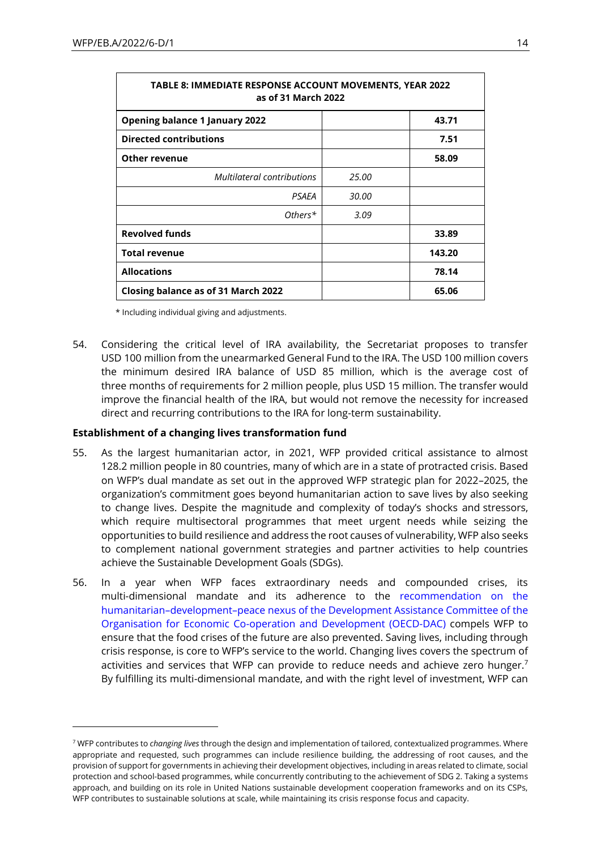| TABLE 8: IMMEDIATE RESPONSE ACCOUNT MOVEMENTS, YEAR 2022<br>as of 31 March 2022 |       |        |  |  |  |  |
|---------------------------------------------------------------------------------|-------|--------|--|--|--|--|
| <b>Opening balance 1 January 2022</b>                                           | 43.71 |        |  |  |  |  |
| <b>Directed contributions</b>                                                   |       | 7.51   |  |  |  |  |
| <b>Other revenue</b>                                                            |       | 58.09  |  |  |  |  |
| Multilateral contributions                                                      | 25.00 |        |  |  |  |  |
| PSAEA                                                                           | 30.00 |        |  |  |  |  |
| Others $*$                                                                      | 3.09  |        |  |  |  |  |
| <b>Revolved funds</b>                                                           |       | 33.89  |  |  |  |  |
| <b>Total revenue</b>                                                            |       | 143.20 |  |  |  |  |
| <b>Allocations</b>                                                              |       | 78.14  |  |  |  |  |
| Closing balance as of 31 March 2022                                             |       | 65.06  |  |  |  |  |

\* Including individual giving and adjustments.

54. Considering the critical level of IRA availability, the Secretariat proposes to transfer USD 100 million from the unearmarked General Fund to the IRA. The USD 100 million covers the minimum desired IRA balance of USD 85 million, which is the average cost of three months of requirements for 2 million people, plus USD 15 million. The transfer would improve the financial health of the IRA, but would not remove the necessity for increased direct and recurring contributions to the IRA for long-term sustainability.

#### **Establishment of a changing lives transformation fund**

- 55. As the largest humanitarian actor, in 2021, WFP provided critical assistance to almost 128.2 million people in 80 countries, many of which are in a state of protracted crisis. Based on WFP's dual mandate as set out in the approved WFP strategic plan for 2022–2025, the organization's commitment goes beyond humanitarian action to save lives by also seeking to change lives. Despite the magnitude and complexity of today's shocks and stressors, which require multisectoral programmes that meet urgent needs while seizing the opportunities to build resilience and address the root causes of vulnerability, WFP also seeks to complement national government strategies and partner activities to help countries achieve the Sustainable Development Goals (SDGs).
- 56. In a year when WFP faces extraordinary needs and compounded crises, its multi-dimensional mandate and its adherence to the [recommendation on the](https://legalinstruments.oecd.org/public/doc/643/643.en.pdf)  humanitarian–development–[peace nexus of the Development Assistance Committee of the](https://legalinstruments.oecd.org/public/doc/643/643.en.pdf)  [Organisation for Economic Co-operation and Development \(OECD-DAC\)](https://legalinstruments.oecd.org/public/doc/643/643.en.pdf) compels WFP to ensure that the food crises of the future are also prevented. Saving lives, including through crisis response, is core to WFP's service to the world. Changing lives covers the spectrum of activities and services that WFP can provide to reduce needs and achieve zero hunger.<sup>7</sup> By fulfilling its multi-dimensional mandate, and with the right level of investment, WFP can

<sup>7</sup> WFP contributes to *changing lives* through the design and implementation of tailored, contextualized programmes. Where appropriate and requested, such programmes can include resilience building, the addressing of root causes, and the provision of support for governments in achieving their development objectives, including in areas related to climate, social protection and school-based programmes, while concurrently contributing to the achievement of SDG 2. Taking a systems approach, and building on its role in United Nations sustainable development cooperation frameworks and on its CSPs, WFP contributes to sustainable solutions at scale, while maintaining its crisis response focus and capacity.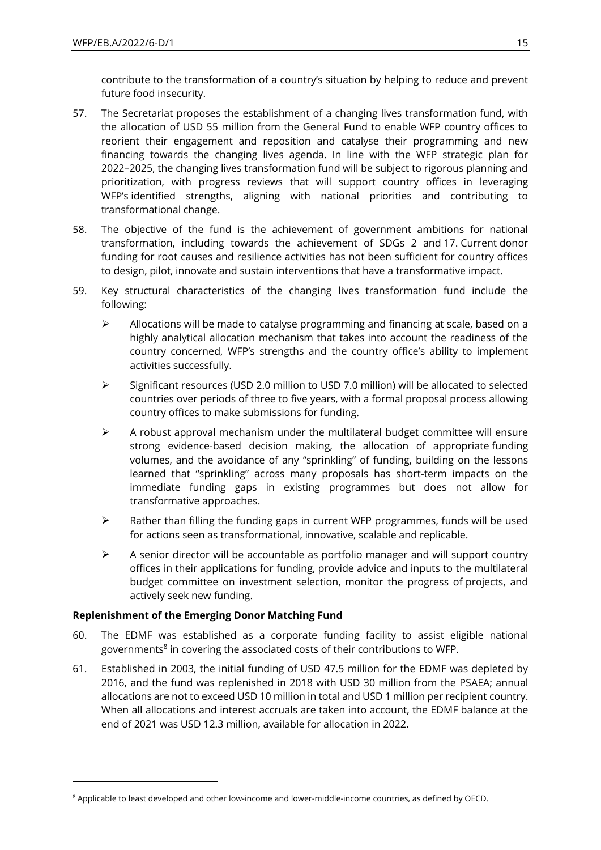contribute to the transformation of a country's situation by helping to reduce and prevent future food insecurity.

- 57. The Secretariat proposes the establishment of a changing lives transformation fund, with the allocation of USD 55 million from the General Fund to enable WFP country offices to reorient their engagement and reposition and catalyse their programming and new financing towards the changing lives agenda. In line with the WFP strategic plan for 2022–2025, the changing lives transformation fund will be subject to rigorous planning and prioritization, with progress reviews that will support country offices in leveraging WFP's identified strengths, aligning with national priorities and contributing to transformational change.
- 58. The objective of the fund is the achievement of government ambitions for national transformation, including towards the achievement of SDGs 2 and 17. Current donor funding for root causes and resilience activities has not been sufficient for country offices to design, pilot, innovate and sustain interventions that have a transformative impact.
- 59. Key structural characteristics of the changing lives transformation fund include the following:
	- $\triangleright$  Allocations will be made to catalyse programming and financing at scale, based on a highly analytical allocation mechanism that takes into account the readiness of the country concerned, WFP's strengths and the country office's ability to implement activities successfully.
	- $\triangleright$  Significant resources (USD 2.0 million to USD 7.0 million) will be allocated to selected countries over periods of three to five years, with a formal proposal process allowing country offices to make submissions for funding.
	- $\triangleright$  A robust approval mechanism under the multilateral budget committee will ensure strong evidence-based decision making, the allocation of appropriate funding volumes, and the avoidance of any "sprinkling" of funding, building on the lessons learned that "sprinkling" across many proposals has short-term impacts on the immediate funding gaps in existing programmes but does not allow for transformative approaches.
	- $\triangleright$  Rather than filling the funding gaps in current WFP programmes, funds will be used for actions seen as transformational, innovative, scalable and replicable.
	- $\triangleright$  A senior director will be accountable as portfolio manager and will support country offices in their applications for funding, provide advice and inputs to the multilateral budget committee on investment selection, monitor the progress of projects, and actively seek new funding.

### **Replenishment of the Emerging Donor Matching Fund**

- 60. The EDMF was established as a corporate funding facility to assist eligible national governments<sup>8</sup> in covering the associated costs of their contributions to WFP.
- 61. Established in 2003, the initial funding of USD 47.5 million for the EDMF was depleted by 2016, and the fund was replenished in 2018 with USD 30 million from the PSAEA; annual allocations are not to exceed USD 10 million in total and USD 1 million per recipient country. When all allocations and interest accruals are taken into account, the EDMF balance at the end of 2021 was USD 12.3 million, available for allocation in 2022.

<sup>&</sup>lt;sup>8</sup> Applicable to least developed and other low-income and lower-middle-income countries, as defined by OECD.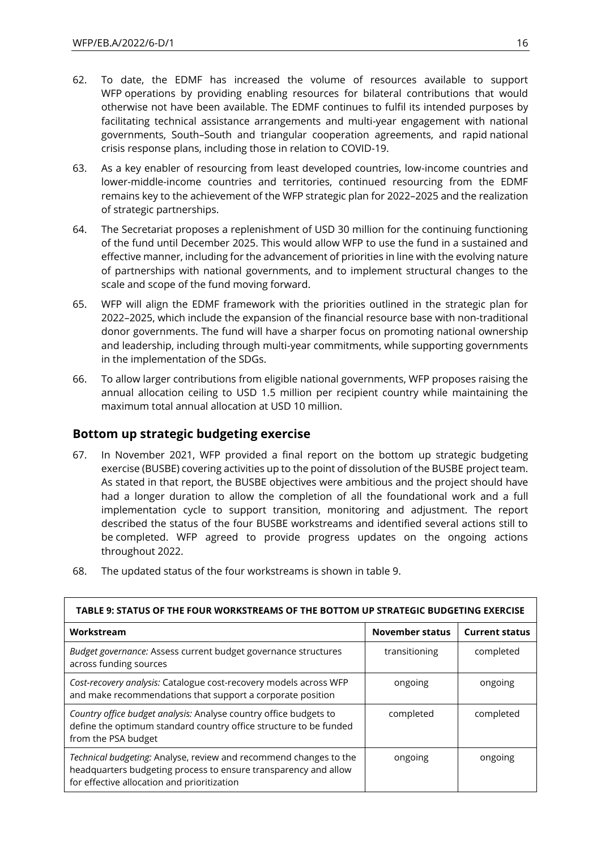- 62. To date, the EDMF has increased the volume of resources available to support WFP operations by providing enabling resources for bilateral contributions that would otherwise not have been available. The EDMF continues to fulfil its intended purposes by facilitating technical assistance arrangements and multi-year engagement with national governments, South–South and triangular cooperation agreements, and rapid national crisis response plans, including those in relation to COVID-19.
- 63. As a key enabler of resourcing from least developed countries, low-income countries and lower-middle-income countries and territories, continued resourcing from the EDMF remains key to the achievement of the [WFP strategic plan for 2022](https://executiveboard.wfp.org/document_download/WFP-0000132205)–2025 and the realization of strategic partnerships.
- 64. The Secretariat proposes a replenishment of USD 30 million for the continuing functioning of the fund until December 2025. This would allow WFP to use the fund in a sustained and effective manner, including for the advancement of priorities in line with the evolving nature of partnerships with national governments, and to implement structural changes to the scale and scope of the fund moving forward.
- 65. WFP will align the EDMF framework with the priorities outlined in the strategic plan for 2022–2025, which include the expansion of the financial resource base with non-traditional donor governments. The fund will have a sharper focus on promoting national ownership and leadership, including through multi-year commitments, while supporting governments in the implementation of the SDGs.
- 66. To allow larger contributions from eligible national governments, WFP proposes raising the annual allocation ceiling to USD 1.5 million per recipient country while maintaining the maximum total annual allocation at USD 10 million.

# **Bottom up strategic budgeting exercise**

67. In November 2021, WFP provided a final report on the bottom up strategic budgeting exercise (BUSBE) covering activities up to the point of dissolution of the BUSBE project team. As stated in that report, the BUSBE objectives were ambitious and the project should have had a longer duration to allow the completion of all the foundational work and a full implementation cycle to support transition, monitoring and adjustment. The report described the status of the four BUSBE workstreams and identified several actions still to be completed. WFP agreed to provide progress updates on the ongoing actions throughout 2022.

| TABLE 9: STATUS OF THE FOUR WORKSTREAMS OF THE BOTTOM UP STRATEGIC BUDGETING EXERCISE                                                                                               |                 |                       |  |  |  |  |  |
|-------------------------------------------------------------------------------------------------------------------------------------------------------------------------------------|-----------------|-----------------------|--|--|--|--|--|
| Workstream                                                                                                                                                                          | November status | <b>Current status</b> |  |  |  |  |  |
| Budget governance: Assess current budget governance structures<br>across funding sources                                                                                            | transitioning   | completed             |  |  |  |  |  |
| Cost-recovery analysis: Catalogue cost-recovery models across WFP<br>and make recommendations that support a corporate position                                                     | ongoing         | ongoing               |  |  |  |  |  |
| Country office budget analysis: Analyse country office budgets to<br>define the optimum standard country office structure to be funded<br>from the PSA budget                       | completed       | completed             |  |  |  |  |  |
| Technical budgeting: Analyse, review and recommend changes to the<br>headquarters budgeting process to ensure transparency and allow<br>for effective allocation and prioritization | ongoing         | ongoing               |  |  |  |  |  |

68. The updated status of the four workstreams is shown in table 9.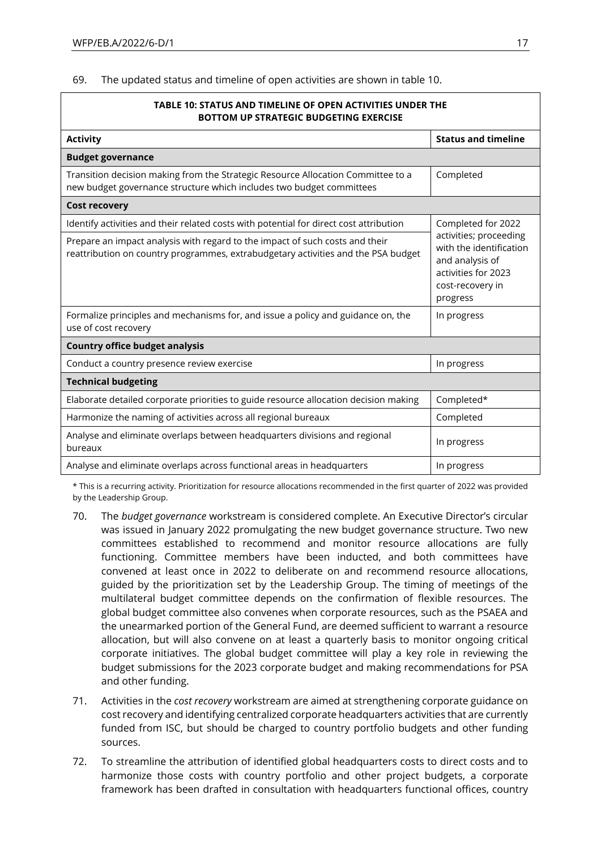69. The updated status and timeline of open activities are shown in table 10.

| TABLE 10: STATUS AND TIMELINE OF OPEN ACTIVITIES UNDER THE<br><b>BOTTOM UP STRATEGIC BUDGETING EXERCISE</b>                                                       |                                                                                                                             |  |  |  |  |
|-------------------------------------------------------------------------------------------------------------------------------------------------------------------|-----------------------------------------------------------------------------------------------------------------------------|--|--|--|--|
| <b>Activity</b>                                                                                                                                                   | <b>Status and timeline</b>                                                                                                  |  |  |  |  |
| <b>Budget governance</b>                                                                                                                                          |                                                                                                                             |  |  |  |  |
| Transition decision making from the Strategic Resource Allocation Committee to a<br>new budget governance structure which includes two budget committees          | Completed                                                                                                                   |  |  |  |  |
| <b>Cost recovery</b>                                                                                                                                              |                                                                                                                             |  |  |  |  |
| Identify activities and their related costs with potential for direct cost attribution                                                                            | Completed for 2022                                                                                                          |  |  |  |  |
| Prepare an impact analysis with regard to the impact of such costs and their<br>reattribution on country programmes, extrabudgetary activities and the PSA budget | activities; proceeding<br>with the identification<br>and analysis of<br>activities for 2023<br>cost-recovery in<br>progress |  |  |  |  |
| Formalize principles and mechanisms for, and issue a policy and guidance on, the<br>use of cost recovery                                                          | In progress                                                                                                                 |  |  |  |  |
| <b>Country office budget analysis</b>                                                                                                                             |                                                                                                                             |  |  |  |  |
| Conduct a country presence review exercise                                                                                                                        | In progress                                                                                                                 |  |  |  |  |
| <b>Technical budgeting</b>                                                                                                                                        |                                                                                                                             |  |  |  |  |
| Elaborate detailed corporate priorities to guide resource allocation decision making                                                                              | Completed*                                                                                                                  |  |  |  |  |
| Harmonize the naming of activities across all regional bureaux                                                                                                    | Completed                                                                                                                   |  |  |  |  |
| Analyse and eliminate overlaps between headquarters divisions and regional<br>bureaux                                                                             | In progress                                                                                                                 |  |  |  |  |
| Analyse and eliminate overlaps across functional areas in headquarters                                                                                            | In progress                                                                                                                 |  |  |  |  |

\* This is a recurring activity. Prioritization for resource allocations recommended in the first quarter of 2022 was provided by the Leadership Group.

- 70. The *budget governance* workstream is considered complete. An Executive Director's circular was issued in January 2022 promulgating the new budget governance structure. Two new committees established to recommend and monitor resource allocations are fully functioning. Committee members have been inducted, and both committees have convened at least once in 2022 to deliberate on and recommend resource allocations, guided by the prioritization set by the Leadership Group. The timing of meetings of the multilateral budget committee depends on the confirmation of flexible resources. The global budget committee also convenes when corporate resources, such as the PSAEA and the unearmarked portion of the General Fund, are deemed sufficient to warrant a resource allocation, but will also convene on at least a quarterly basis to monitor ongoing critical corporate initiatives. The global budget committee will play a key role in reviewing the budget submissions for the 2023 corporate budget and making recommendations for PSA and other funding.
- 71. Activities in the *cost recovery* workstream are aimed at strengthening corporate guidance on cost recovery and identifying centralized corporate headquarters activities that are currently funded from ISC, but should be charged to country portfolio budgets and other funding sources.
- 72. To streamline the attribution of identified global headquarters costs to direct costs and to harmonize those costs with country portfolio and other project budgets, a corporate framework has been drafted in consultation with headquarters functional offices, country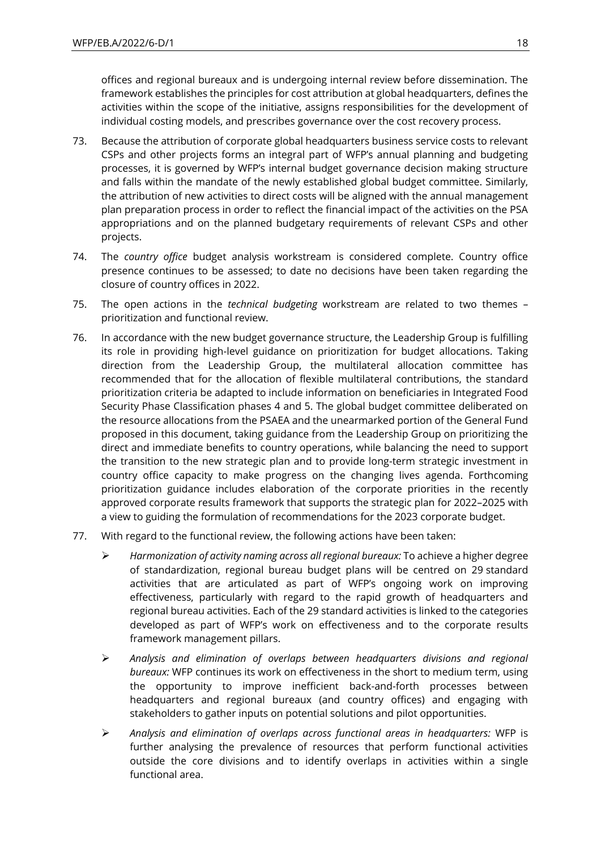offices and regional bureaux and is undergoing internal review before dissemination. The framework establishes the principles for cost attribution at global headquarters, defines the activities within the scope of the initiative, assigns responsibilities for the development of individual costing models, and prescribes governance over the cost recovery process.

- 73. Because the attribution of corporate global headquarters business service costs to relevant CSPs and other projects forms an integral part of WFP's annual planning and budgeting processes, it is governed by WFP's internal budget governance decision making structure and falls within the mandate of the newly established global budget committee. Similarly, the attribution of new activities to direct costs will be aligned with the annual management plan preparation process in order to reflect the financial impact of the activities on the PSA appropriations and on the planned budgetary requirements of relevant CSPs and other projects.
- 74. The *country office* budget analysis workstream is considered complete. Country office presence continues to be assessed; to date no decisions have been taken regarding the closure of country offices in 2022.
- 75. The open actions in the *technical budgeting* workstream are related to two themes prioritization and functional review.
- 76. In accordance with the new budget governance structure, the Leadership Group is fulfilling its role in providing high-level guidance on prioritization for budget allocations. Taking direction from the Leadership Group, the multilateral allocation committee has recommended that for the allocation of flexible multilateral contributions, the standard prioritization criteria be adapted to include information on beneficiaries in Integrated Food Security Phase Classification phases 4 and 5. The global budget committee deliberated on the resource allocations from the PSAEA and the unearmarked portion of the General Fund proposed in this document, taking guidance from the Leadership Group on prioritizing the direct and immediate benefits to country operations, while balancing the need to support the transition to the new strategic plan and to provide long-term strategic investment in country office capacity to make progress on the changing lives agenda. Forthcoming prioritization guidance includes elaboration of the corporate priorities in the recently approved corporate results framework that supports the strategic plan for 2022–2025 with a view to guiding the formulation of recommendations for the 2023 corporate budget.
- 77. With regard to the functional review, the following actions have been taken:
	- ➢ *Harmonization of activity naming across all regional bureaux:* To achieve a higher degree of standardization, regional bureau budget plans will be centred on 29 standard activities that are articulated as part of WFP's ongoing work on improving effectiveness, particularly with regard to the rapid growth of headquarters and regional bureau activities. Each of the 29 standard activities is linked to the categories developed as part of WFP's work on effectiveness and to the corporate results framework management pillars.
	- ➢ *Analysis and elimination of overlaps between headquarters divisions and regional bureaux:* WFP continues its work on effectiveness in the short to medium term, using the opportunity to improve inefficient back-and-forth processes between headquarters and regional bureaux (and country offices) and engaging with stakeholders to gather inputs on potential solutions and pilot opportunities.
	- ➢ *Analysis and elimination of overlaps across functional areas in headquarters:* WFP is further analysing the prevalence of resources that perform functional activities outside the core divisions and to identify overlaps in activities within a single functional area.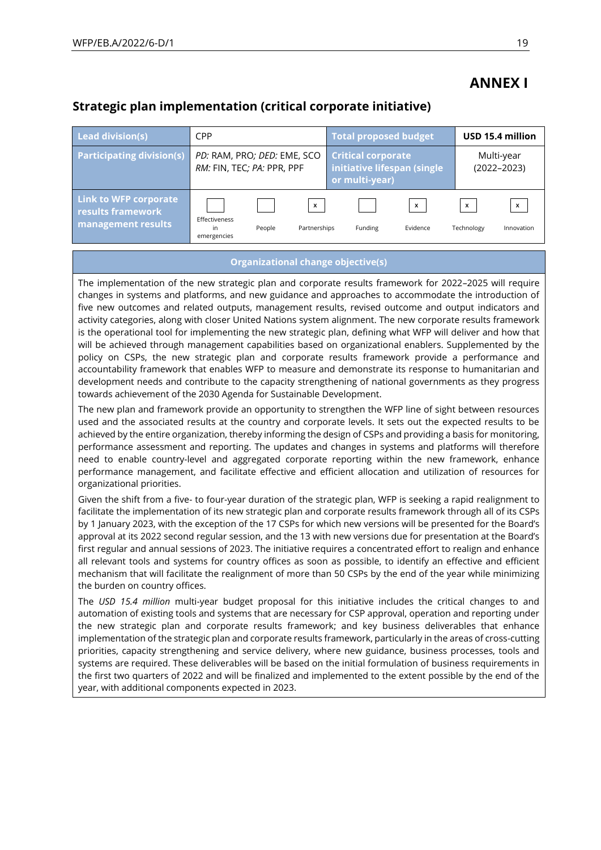# **ANNEX I**

# **Strategic plan implementation (critical corporate initiative)**

| Lead division(s)                                                        | <b>CPP</b>                                                |        |                              | <b>Total proposed budget</b>                                               |                                       |                                         | USD 15.4 million                        |
|-------------------------------------------------------------------------|-----------------------------------------------------------|--------|------------------------------|----------------------------------------------------------------------------|---------------------------------------|-----------------------------------------|-----------------------------------------|
| <b>Participating division(s)</b>                                        | PD: RAM, PRO; DED: EME, SCO<br>RM: FIN, TEC; PA: PPR, PPF |        |                              | <b>Critical corporate</b><br>initiative lifespan (single<br>or multi-year) |                                       |                                         | Multi-year<br>$(2022 - 2023)$           |
| Link to WFP corporate<br><b>results framework</b><br>management results | Effectiveness<br>in<br>emergencies                        | People | $\pmb{\chi}$<br>Partnerships | Funding                                                                    | $\boldsymbol{\mathsf{x}}$<br>Evidence | $\boldsymbol{\mathsf{x}}$<br>Technology | $\boldsymbol{\mathsf{x}}$<br>Innovation |

#### **Organizational change objective(s)**

The implementation of the new strategic plan and corporate results framework for 2022–2025 will require changes in systems and platforms, and new guidance and approaches to accommodate the introduction of five new outcomes and related outputs, management results, revised outcome and output indicators and activity categories, along with closer United Nations system alignment. The new corporate results framework is the operational tool for implementing the new strategic plan, defining what WFP will deliver and how that will be achieved through management capabilities based on organizational enablers. Supplemented by the policy on CSPs, the new strategic plan and corporate results framework provide a performance and accountability framework that enables WFP to measure and demonstrate its response to humanitarian and development needs and contribute to the capacity strengthening of national governments as they progress towards achievement of the 2030 Agenda for Sustainable Development.

The new plan and framework provide an opportunity to strengthen the WFP line of sight between resources used and the associated results at the country and corporate levels. It sets out the expected results to be achieved by the entire organization, thereby informing the design of CSPs and providing a basis for monitoring, performance assessment and reporting. The updates and changes in systems and platforms will therefore need to enable country-level and aggregated corporate reporting within the new framework, enhance performance management, and facilitate effective and efficient allocation and utilization of resources for organizational priorities.

Given the shift from a five- to four-year duration of the strategic plan, WFP is seeking a rapid realignment to facilitate the implementation of its new strategic plan and corporate results framework through all of its CSPs by 1 January 2023, with the exception of the 17 CSPs for which new versions will be presented for the Board's approval at its 2022 second regular session, and the 13 with new versions due for presentation at the Board's first regular and annual sessions of 2023. The initiative requires a concentrated effort to realign and enhance all relevant tools and systems for country offices as soon as possible, to identify an effective and efficient mechanism that will facilitate the realignment of more than 50 CSPs by the end of the year while minimizing the burden on country offices.

The *USD 15.4 million* multi-year budget proposal for this initiative includes the critical changes to and automation of existing tools and systems that are necessary for CSP approval, operation and reporting under the new strategic plan and corporate results framework; and key business deliverables that enhance implementation of the strategic plan and corporate results framework, particularly in the areas of cross-cutting priorities, capacity strengthening and service delivery, where new guidance, business processes, tools and systems are required. These deliverables will be based on the initial formulation of business requirements in the first two quarters of 2022 and will be finalized and implemented to the extent possible by the end of the year, with additional components expected in 2023.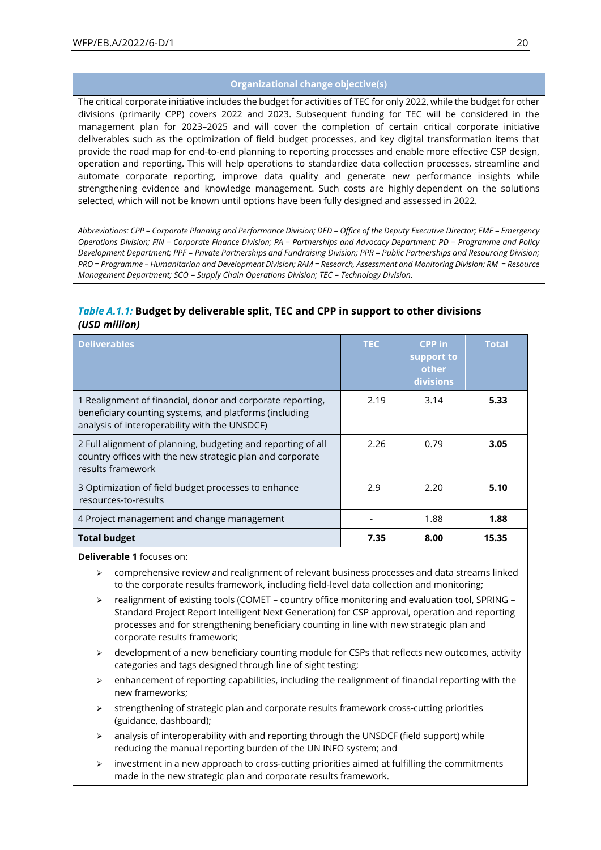#### **Organizational change objective(s)**

The critical corporate initiative includes the budget for activities of TEC for only 2022, while the budget for other divisions (primarily CPP) covers 2022 and 2023. Subsequent funding for TEC will be considered in the management plan for 2023–2025 and will cover the completion of certain critical corporate initiative deliverables such as the optimization of field budget processes, and key digital transformation items that provide the road map for end-to-end planning to reporting processes and enable more effective CSP design, operation and reporting. This will help operations to standardize data collection processes, streamline and automate corporate reporting, improve data quality and generate new performance insights while strengthening evidence and knowledge management. Such costs are highly dependent on the solutions selected, which will not be known until options have been fully designed and assessed in 2022.

*Abbreviations: CPP = Corporate Planning and Performance Division; DED = Office of the Deputy Executive Director; EME = Emergency Operations Division; FIN = Corporate Finance Division; PA = Partnerships and Advocacy Department; PD = Programme and Policy Development Department; PPF = Private Partnerships and Fundraising Division; PPR = Public Partnerships and Resourcing Division; PRO = Programme – Humanitarian and Development Division; RAM = Research, Assessment and Monitoring Division; RM = Resource Management Department; SCO = Supply Chain Operations Division; TEC = Technology Division.*

## *Table A.1.1:* **Budget by deliverable split, TEC and CPP in support to other divisions**  *(USD million)*

| <b>Deliverables</b>                                                                                                                                                   | <b>TEC</b> | CPP in<br>support to<br>other<br>divisions | <b>Total</b> |
|-----------------------------------------------------------------------------------------------------------------------------------------------------------------------|------------|--------------------------------------------|--------------|
| 1 Realignment of financial, donor and corporate reporting,<br>beneficiary counting systems, and platforms (including<br>analysis of interoperability with the UNSDCF) | 2.19       | 3.14                                       | 5.33         |
| 2 Full alignment of planning, budgeting and reporting of all<br>country offices with the new strategic plan and corporate<br>results framework                        | 2.26       | 0.79                                       | 3.05         |
| 3 Optimization of field budget processes to enhance<br>resources-to-results                                                                                           | 2.9        | 2.20                                       | 5.10         |
| 4 Project management and change management                                                                                                                            |            | 1.88                                       | 1.88         |
| <b>Total budget</b>                                                                                                                                                   | 7.35       | 8.00                                       | 15.35        |

**Deliverable 1** focuses on:

- ➢ comprehensive review and realignment of relevant business processes and data streams linked to the corporate results framework, including field-level data collection and monitoring;
- ➢ realignment of existing tools (COMET country office monitoring and evaluation tool, SPRING Standard Project Report Intelligent Next Generation) for CSP approval, operation and reporting processes and for strengthening beneficiary counting in line with new strategic plan and corporate results framework;
- development of a new beneficiary counting module for CSPs that reflects new outcomes, activity categories and tags designed through line of sight testing;
- $\triangleright$  enhancement of reporting capabilities, including the realignment of financial reporting with the new frameworks;
- $\triangleright$  strengthening of strategic plan and corporate results framework cross-cutting priorities (guidance, dashboard);
- ➢ analysis of interoperability with and reporting through the UNSDCF (field support) while reducing the manual reporting burden of the UN INFO system; and
- ➢ investment in a new approach to cross-cutting priorities aimed at fulfilling the commitments made in the new strategic plan and corporate results framework.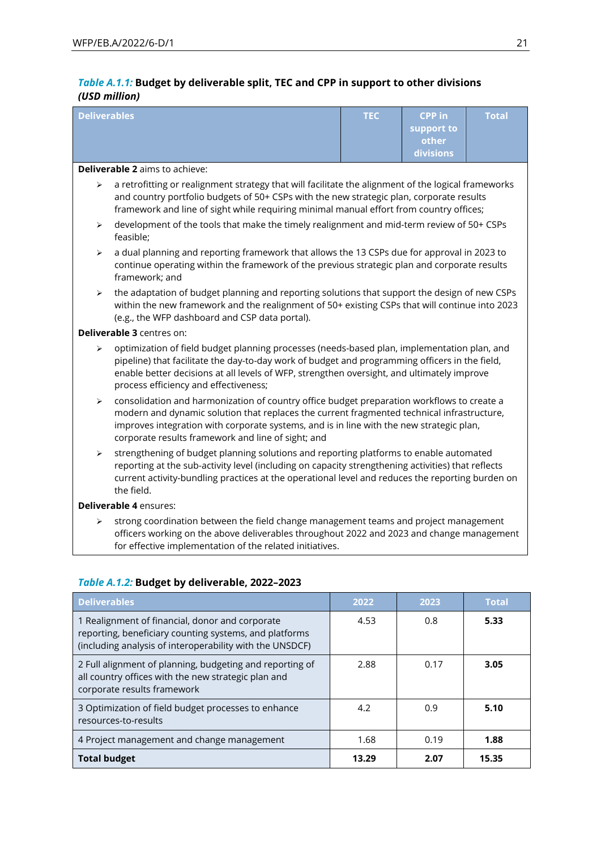# *Table A.1.1:* **Budget by deliverable split, TEC and CPP in support to other divisions**  *(USD million)*

| <b>Deliverables</b>                                                                                                                                                                                                                                                        |                                                                                                                                                                                                                                                                                                                                            | <b>TEC</b> | <b>CPP</b> in<br>support to<br>other<br>divisions | <b>Total</b> |  |  |  |  |
|----------------------------------------------------------------------------------------------------------------------------------------------------------------------------------------------------------------------------------------------------------------------------|--------------------------------------------------------------------------------------------------------------------------------------------------------------------------------------------------------------------------------------------------------------------------------------------------------------------------------------------|------------|---------------------------------------------------|--------------|--|--|--|--|
|                                                                                                                                                                                                                                                                            | <b>Deliverable 2 aims to achieve:</b>                                                                                                                                                                                                                                                                                                      |            |                                                   |              |  |  |  |  |
| ⋗                                                                                                                                                                                                                                                                          | a retrofitting or realignment strategy that will facilitate the alignment of the logical frameworks<br>and country portfolio budgets of 50+ CSPs with the new strategic plan, corporate results<br>framework and line of sight while requiring minimal manual effort from country offices;                                                 |            |                                                   |              |  |  |  |  |
| ➤                                                                                                                                                                                                                                                                          | development of the tools that make the timely realignment and mid-term review of 50+ CSPs<br>feasible;                                                                                                                                                                                                                                     |            |                                                   |              |  |  |  |  |
| $\blacktriangleright$                                                                                                                                                                                                                                                      | a dual planning and reporting framework that allows the 13 CSPs due for approval in 2023 to<br>continue operating within the framework of the previous strategic plan and corporate results<br>framework; and                                                                                                                              |            |                                                   |              |  |  |  |  |
| the adaptation of budget planning and reporting solutions that support the design of new CSPs<br>$\blacktriangleright$<br>within the new framework and the realignment of 50+ existing CSPs that will continue into 2023<br>(e.g., the WFP dashboard and CSP data portal). |                                                                                                                                                                                                                                                                                                                                            |            |                                                   |              |  |  |  |  |
|                                                                                                                                                                                                                                                                            | <b>Deliverable 3 centres on:</b>                                                                                                                                                                                                                                                                                                           |            |                                                   |              |  |  |  |  |
| ➤                                                                                                                                                                                                                                                                          | optimization of field budget planning processes (needs-based plan, implementation plan, and<br>pipeline) that facilitate the day-to-day work of budget and programming officers in the field,<br>enable better decisions at all levels of WFP, strengthen oversight, and ultimately improve<br>process efficiency and effectiveness;       |            |                                                   |              |  |  |  |  |
| ➤                                                                                                                                                                                                                                                                          | consolidation and harmonization of country office budget preparation workflows to create a<br>modern and dynamic solution that replaces the current fragmented technical infrastructure,<br>improves integration with corporate systems, and is in line with the new strategic plan,<br>corporate results framework and line of sight; and |            |                                                   |              |  |  |  |  |
| ➤                                                                                                                                                                                                                                                                          | strengthening of budget planning solutions and reporting platforms to enable automated<br>reporting at the sub-activity level (including on capacity strengthening activities) that reflects<br>current activity-bundling practices at the operational level and reduces the reporting burden on<br>the field.                             |            |                                                   |              |  |  |  |  |
|                                                                                                                                                                                                                                                                            | Deliverable 4 ensures:                                                                                                                                                                                                                                                                                                                     |            |                                                   |              |  |  |  |  |
| ⋗                                                                                                                                                                                                                                                                          | strong coordination between the field change management teams and project management<br>officers working on the above deliverables throughout 2022 and 2023 and change management<br>for effective implementation of the related initiatives.                                                                                              |            |                                                   |              |  |  |  |  |

| Table A.1.2: Budget by deliverable, 2022-2023 |  |
|-----------------------------------------------|--|
|                                               |  |

| <b>Deliverables</b>                                                                                                                                                   | 2022  | 2023 | <b>Total</b> |
|-----------------------------------------------------------------------------------------------------------------------------------------------------------------------|-------|------|--------------|
| 1 Realignment of financial, donor and corporate<br>reporting, beneficiary counting systems, and platforms<br>(including analysis of interoperability with the UNSDCF) | 4.53  | 0.8  | 5.33         |
| 2 Full alignment of planning, budgeting and reporting of<br>all country offices with the new strategic plan and<br>corporate results framework                        | 2.88  | 0.17 | 3.05         |
| 3 Optimization of field budget processes to enhance<br>resources-to-results                                                                                           | 4.2   | 0.9  | 5.10         |
| 4 Project management and change management                                                                                                                            | 1.68  | 0.19 | 1.88         |
| <b>Total budget</b>                                                                                                                                                   | 13.29 | 2.07 | 15.35        |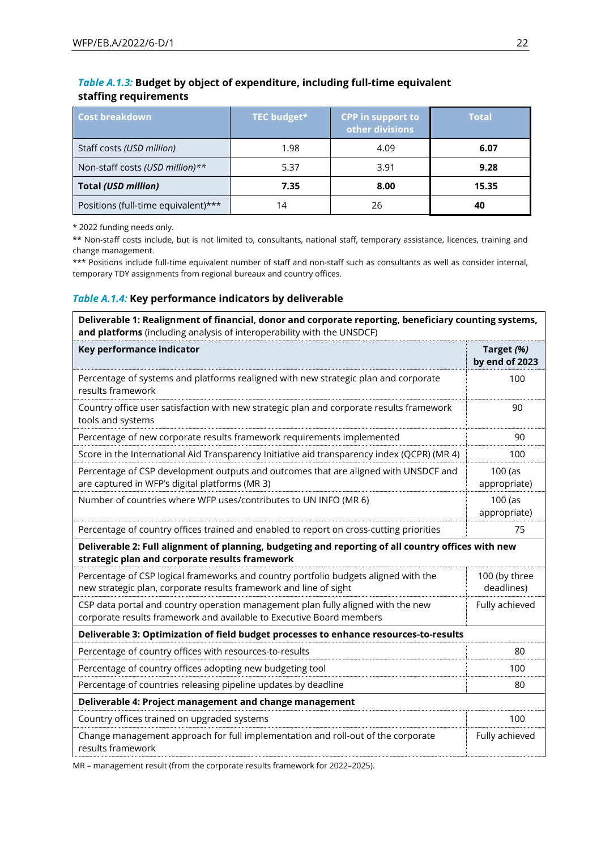| Table A.1.3: Budget by object of expenditure, including full-time equivalent |  |
|------------------------------------------------------------------------------|--|
| staffing requirements                                                        |  |

| <b>Cost breakdown</b>               | TEC budget* | <b>CPP in support to</b><br>other divisions | <b>Total</b> |
|-------------------------------------|-------------|---------------------------------------------|--------------|
| Staff costs (USD million)           | 1.98        | 4.09                                        | 6.07         |
| Non-staff costs (USD million)**     | 5.37        | 3.91                                        | 9.28         |
| <b>Total (USD million)</b>          | 7.35        | 8.00                                        | 15.35        |
| Positions (full-time equivalent)*** | 14          | 26                                          | 40           |

\* 2022 funding needs only.

\*\* Non-staff costs include, but is not limited to, consultants, national staff, temporary assistance, licences, training and change management.

\*\*\* Positions include full-time equivalent number of staff and non-staff such as consultants as well as consider internal, temporary TDY assignments from regional bureaux and country offices.

#### *Table A.1.4:* **Key performance indicators by deliverable**

| Deliverable 1: Realignment of financial, donor and corporate reporting, beneficiary counting systems,<br>and platforms (including analysis of interoperability with the UNSDCF) |                              |
|---------------------------------------------------------------------------------------------------------------------------------------------------------------------------------|------------------------------|
| Key performance indicator                                                                                                                                                       | Target (%)<br>by end of 2023 |
| Percentage of systems and platforms realigned with new strategic plan and corporate<br>results framework                                                                        | 100                          |
| Country office user satisfaction with new strategic plan and corporate results framework<br>tools and systems                                                                   | 90                           |
| Percentage of new corporate results framework requirements implemented                                                                                                          | 90                           |
| Score in the International Aid Transparency Initiative aid transparency index (QCPR) (MR 4)                                                                                     | 100                          |
| Percentage of CSP development outputs and outcomes that are aligned with UNSDCF and<br>are captured in WFP's digital platforms (MR 3)                                           | 100 (as<br>appropriate)      |
| Number of countries where WFP uses/contributes to UN INFO (MR 6)                                                                                                                | $100$ (as<br>appropriate)    |
| Percentage of country offices trained and enabled to report on cross-cutting priorities                                                                                         | 75                           |
| Deliverable 2: Full alignment of planning, budgeting and reporting of all country offices with new<br>strategic plan and corporate results framework                            |                              |
| Percentage of CSP logical frameworks and country portfolio budgets aligned with the<br>new strategic plan, corporate results framework and line of sight                        | 100 (by three<br>deadlines)  |
| CSP data portal and country operation management plan fully aligned with the new<br>corporate results framework and available to Executive Board members                        | Fully achieved               |
| Deliverable 3: Optimization of field budget processes to enhance resources-to-results                                                                                           |                              |
| Percentage of country offices with resources-to-results                                                                                                                         | 80                           |
| Percentage of country offices adopting new budgeting tool                                                                                                                       | 100                          |
| Percentage of countries releasing pipeline updates by deadline                                                                                                                  | 80                           |
| Deliverable 4: Project management and change management                                                                                                                         |                              |
| Country offices trained on upgraded systems                                                                                                                                     | 100                          |
| Change management approach for full implementation and roll-out of the corporate<br>results framework                                                                           | Fully achieved               |

MR – management result (from the corporate results framework for 2022–2025).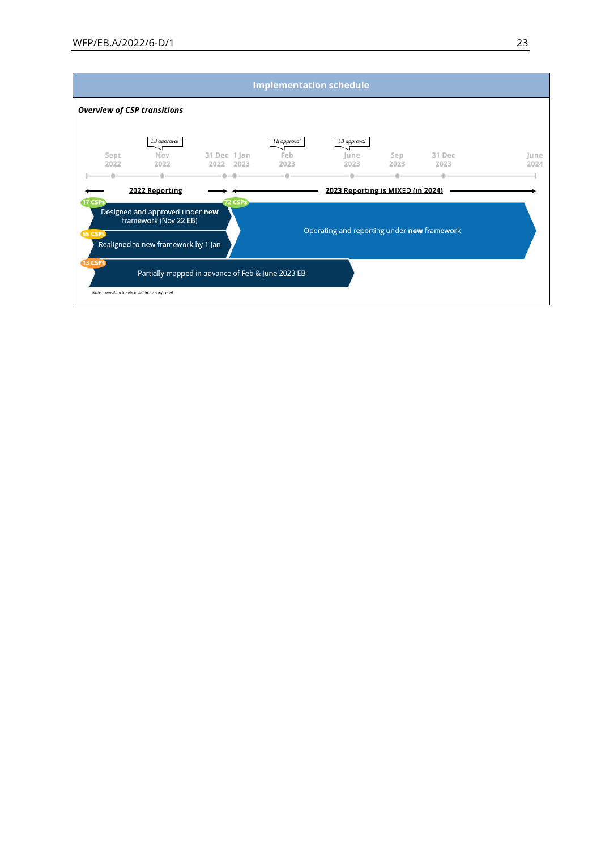|                                                                                                                                                                                                      |              |                                                 |                                                   | <b>Implementation schedule</b> |                                   |             |                |              |
|------------------------------------------------------------------------------------------------------------------------------------------------------------------------------------------------------|--------------|-------------------------------------------------|---------------------------------------------------|--------------------------------|-----------------------------------|-------------|----------------|--------------|
|                                                                                                                                                                                                      |              | <b>Overview of CSP transitions</b>              |                                                   |                                |                                   |             |                |              |
|                                                                                                                                                                                                      | Sept<br>2022 | EB approval<br>Nov<br>2022                      | 31 Dec 1 Jan<br>2022<br>2023                      | EB approval<br>Feb<br>2023     | EB approval<br>lune<br>2023       | Sep<br>2023 | 31 Dec<br>2023 | June<br>2024 |
|                                                                                                                                                                                                      |              |                                                 |                                                   |                                |                                   |             |                |              |
|                                                                                                                                                                                                      |              | 2022 Reporting                                  |                                                   |                                | 2023 Reporting is MIXED (in 2024) |             |                |              |
| <b>72 CSPS</b><br><b>17 CSPs</b><br>Designed and approved under new<br>framework (Nov 22 EB)<br>Operating and reporting under new framework<br><b>55 CSPS</b><br>Realigned to new framework by 1 Jan |              |                                                 |                                                   |                                |                                   |             |                |              |
|                                                                                                                                                                                                      | 13 CSPS      | Note: Transition timeline still to be confirmed | Partially mapped in advance of Feb & June 2023 EB |                                |                                   |             |                |              |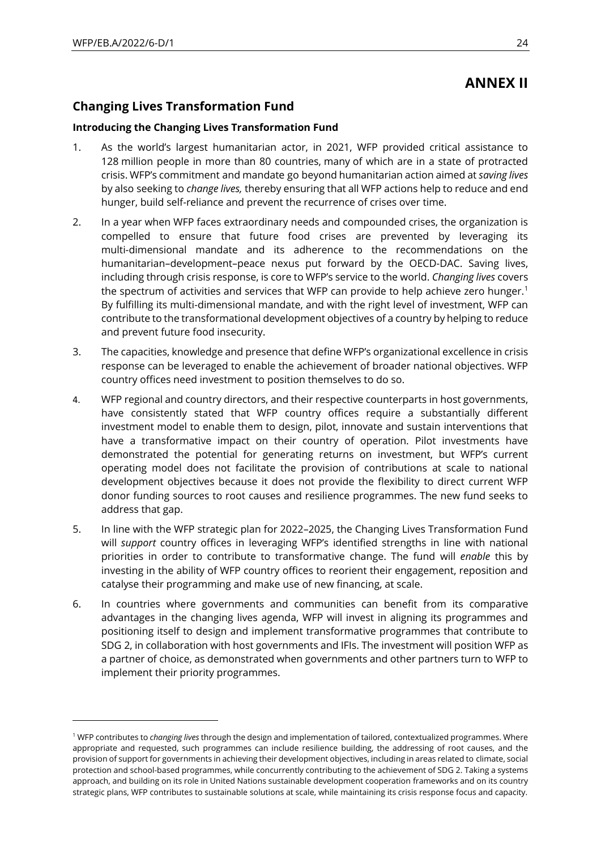# **ANNEX II**

# **Changing Lives Transformation Fund**

#### **Introducing the Changing Lives Transformation Fund**

- 1. As the world's largest humanitarian actor, in 2021, WFP provided critical assistance to 128 million people in more than 80 countries, many of which are in a state of protracted crisis. WFP's commitment and mandate go beyond humanitarian action aimed at *saving lives* by also seeking to *change lives,* thereby ensuring that all WFP actions help to reduce and end hunger, build self-reliance and prevent the recurrence of crises over time.
- 2. In a year when WFP faces extraordinary needs and compounded crises, the organization is compelled to ensure that future food crises are prevented by leveraging its multi-dimensional mandate and its adherence to the recommendations on the humanitarian–development–peace nexus put forward by the OECD-DAC. Saving lives, including through crisis response, is core to WFP's service to the world. *Changing lives* covers the spectrum of activities and services that WFP can provide to help achieve zero hunger.<sup>1</sup> By fulfilling its multi-dimensional mandate, and with the right level of investment, WFP can contribute to the transformational development objectives of a country by helping to reduce and prevent future food insecurity.
- 3. The capacities, knowledge and presence that define WFP's organizational excellence in crisis response can be leveraged to enable the achievement of broader national objectives. WFP country offices need investment to position themselves to do so.
- 4. WFP regional and country directors, and their respective counterparts in host governments, have consistently stated that WFP country offices require a substantially different investment model to enable them to design, pilot, innovate and sustain interventions that have a transformative impact on their country of operation. Pilot investments have demonstrated the potential for generating returns on investment, but WFP's current operating model does not facilitate the provision of contributions at scale to national development objectives because it does not provide the flexibility to direct current WFP donor funding sources to root causes and resilience programmes. The new fund seeks to address that gap.
- 5. In line with the WFP strategic plan for 2022–2025, the Changing Lives Transformation Fund will *support* country offices in leveraging WFP's identified strengths in line with national priorities in order to contribute to transformative change. The fund will *enable* this by investing in the ability of WFP country offices to reorient their engagement, reposition and catalyse their programming and make use of new financing, at scale.
- 6. In countries where governments and communities can benefit from its comparative advantages in the changing lives agenda, WFP will invest in aligning its programmes and positioning itself to design and implement transformative programmes that contribute to SDG 2, in collaboration with host governments and IFIs. The investment will position WFP as a partner of choice, as demonstrated when governments and other partners turn to WFP to implement their priority programmes.

<sup>1</sup> WFP contributes to *changing lives* through the design and implementation of tailored, contextualized programmes. Where appropriate and requested, such programmes can include resilience building, the addressing of root causes, and the provision of support for governments in achieving their development objectives, including in areas related to climate, social protection and school-based programmes, while concurrently contributing to the achievement of SDG 2. Taking a systems approach, and building on its role in United Nations sustainable development cooperation frameworks and on its country strategic plans, WFP contributes to sustainable solutions at scale, while maintaining its crisis response focus and capacity.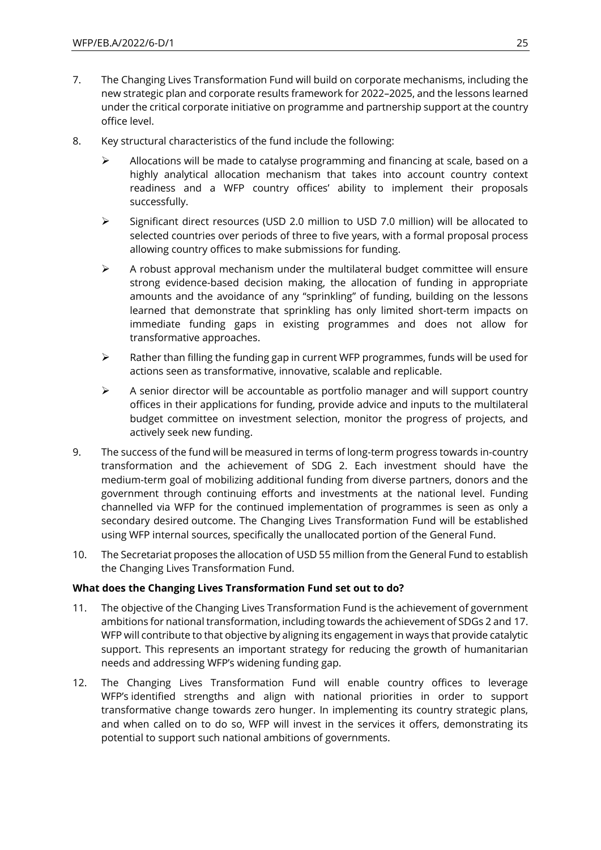- 7. The Changing Lives Transformation Fund will build on corporate mechanisms, including the new strategic plan and corporate results framework for 2022–2025, and the lessons learned under the critical corporate initiative on programme and partnership support at the country office level.
- 8. Key structural characteristics of the fund include the following:
	- ➢ Allocations will be made to catalyse programming and financing at scale, based on a highly analytical allocation mechanism that takes into account country context readiness and a WFP country offices' ability to implement their proposals successfully.
	- ➢ Significant direct resources (USD 2.0 million to USD 7.0 million) will be allocated to selected countries over periods of three to five years, with a formal proposal process allowing country offices to make submissions for funding.
	- $\triangleright$  A robust approval mechanism under the multilateral budget committee will ensure strong evidence-based decision making, the allocation of funding in appropriate amounts and the avoidance of any "sprinkling" of funding, building on the lessons learned that demonstrate that sprinkling has only limited short-term impacts on immediate funding gaps in existing programmes and does not allow for transformative approaches.
	- $\triangleright$  Rather than filling the funding gap in current WFP programmes, funds will be used for actions seen as transformative, innovative, scalable and replicable.
	- $\triangleright$  A senior director will be accountable as portfolio manager and will support country offices in their applications for funding, provide advice and inputs to the multilateral budget committee on investment selection, monitor the progress of projects, and actively seek new funding.
- 9. The success of the fund will be measured in terms of long-term progress towards in-country transformation and the achievement of SDG 2. Each investment should have the medium-term goal of mobilizing additional funding from diverse partners, donors and the government through continuing efforts and investments at the national level. Funding channelled via WFP for the continued implementation of programmes is seen as only a secondary desired outcome. The Changing Lives Transformation Fund will be established using WFP internal sources, specifically the unallocated portion of the General Fund.
- 10. The Secretariat proposes the allocation of USD 55 million from the General Fund to establish the Changing Lives Transformation Fund.

### **What does the Changing Lives Transformation Fund set out to do?**

- 11. The objective of the Changing Lives Transformation Fund is the achievement of government ambitions for national transformation, including towards the achievement of SDGs 2 and 17. WFP will contribute to that objective by aligning its engagement in ways that provide catalytic support. This represents an important strategy for reducing the growth of humanitarian needs and addressing WFP's widening funding gap.
- 12. The Changing Lives Transformation Fund will enable country offices to leverage WFP's identified strengths and align with national priorities in order to support transformative change towards zero hunger. In implementing its country strategic plans, and when called on to do so, WFP will invest in the services it offers, demonstrating its potential to support such national ambitions of governments.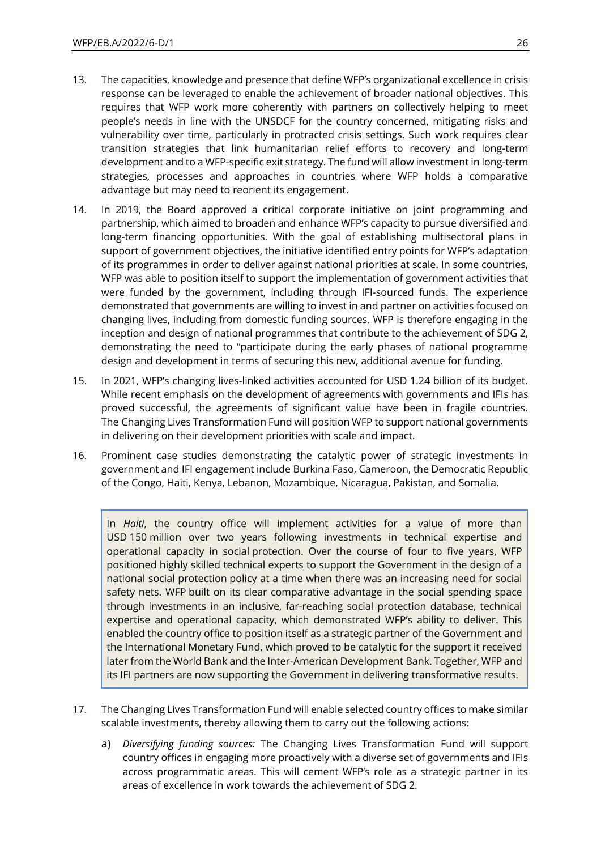- 13. The capacities, knowledge and presence that define WFP's organizational excellence in crisis response can be leveraged to enable the achievement of broader national objectives. This requires that WFP work more coherently with partners on collectively helping to meet people's needs in line with the UNSDCF for the country concerned, mitigating risks and vulnerability over time, particularly in protracted crisis settings. Such work requires clear transition strategies that link humanitarian relief efforts to recovery and long-term development and to a WFP-specific exit strategy. The fund will allow investment in long-term strategies, processes and approaches in countries where WFP holds a comparative advantage but may need to reorient its engagement.
- 14. In 2019, the Board approved a critical corporate initiative on joint programming and partnership, which aimed to broaden and enhance WFP's capacity to pursue diversified and long-term financing opportunities. With the goal of establishing multisectoral plans in support of government objectives, the initiative identified entry points for WFP's adaptation of its programmes in order to deliver against national priorities at scale. In some countries, WFP was able to position itself to support the implementation of government activities that were funded by the government, including through IFI-sourced funds. The experience demonstrated that governments are willing to invest in and partner on activities focused on changing lives, including from domestic funding sources. WFP is therefore engaging in the inception and design of national programmes that contribute to the achievement of SDG 2, demonstrating the need to "participate during the early phases of national programme design and development in terms of securing this new, additional avenue for funding.
- 15. In 2021, WFP's changing lives-linked activities accounted for USD 1.24 billion of its budget. While recent emphasis on the development of agreements with governments and IFIs has proved successful, the agreements of significant value have been in fragile countries. The Changing Lives Transformation Fund will position WFP to support national governments in delivering on their development priorities with scale and impact.
- 16. Prominent case studies demonstrating the catalytic power of strategic investments in government and IFI engagement include Burkina Faso, Cameroon, the Democratic Republic of the Congo, Haiti, Kenya, Lebanon, Mozambique, Nicaragua, Pakistan, and Somalia.

In *Haiti*, the country office will implement activities for a value of more than USD 150 million over two years following investments in technical expertise and operational capacity in social protection. Over the course of four to five years, WFP positioned highly skilled technical experts to support the Government in the design of a national social protection policy at a time when there was an increasing need for social safety nets. WFP built on its clear comparative advantage in the social spending space through investments in an inclusive, far-reaching social protection database, technical expertise and operational capacity, which demonstrated WFP's ability to deliver. This enabled the country office to position itself as a strategic partner of the Government and the International Monetary Fund, which proved to be catalytic for the support it received later from the World Bank and the Inter-American Development Bank. Together, WFP and its IFI partners are now supporting the Government in delivering transformative results.

- 17. The Changing Lives Transformation Fund will enable selected country offices to make similar scalable investments, thereby allowing them to carry out the following actions:
	- a) *Diversifying funding sources:* The Changing Lives Transformation Fund will support country offices in engaging more proactively with a diverse set of governments and IFIs across programmatic areas. This will cement WFP's role as a strategic partner in its areas of excellence in work towards the achievement of SDG 2.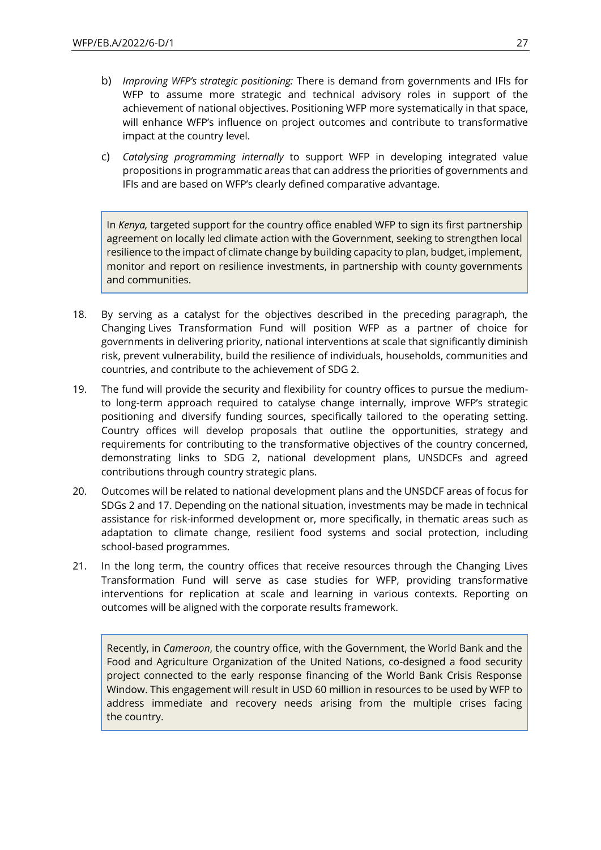- b) *Improving WFP's strategic positioning:* There is demand from governments and IFIs for WFP to assume more strategic and technical advisory roles in support of the achievement of national objectives. Positioning WFP more systematically in that space, will enhance WFP's influence on project outcomes and contribute to transformative impact at the country level.
- c) *Catalysing programming internally* to support WFP in developing integrated value propositions in programmatic areas that can address the priorities of governments and IFIs and are based on WFP's clearly defined comparative advantage.

In *Kenya,* targeted support for the country office enabled WFP to sign its first partnership agreement on locally led climate action with the Government, seeking to strengthen local resilience to the impact of climate change by building capacity to plan, budget, implement, monitor and report on resilience investments, in partnership with county governments and communities.

- 18. By serving as a catalyst for the objectives described in the preceding paragraph, the Changing Lives Transformation Fund will position WFP as a partner of choice for governments in delivering priority, national interventions at scale that significantly diminish risk, prevent vulnerability, build the resilience of individuals, households, communities and countries, and contribute to the achievement of SDG 2.
- 19. The fund will provide the security and flexibility for country offices to pursue the mediumto long-term approach required to catalyse change internally, improve WFP's strategic positioning and diversify funding sources, specifically tailored to the operating setting. Country offices will develop proposals that outline the opportunities, strategy and requirements for contributing to the transformative objectives of the country concerned, demonstrating links to SDG 2, national development plans, UNSDCFs and agreed contributions through country strategic plans.
- 20. Outcomes will be related to national development plans and the UNSDCF areas of focus for SDGs 2 and 17. Depending on the national situation, investments may be made in technical assistance for risk-informed development or, more specifically, in thematic areas such as adaptation to climate change, resilient food systems and social protection, including school-based programmes.
- 21. In the long term, the country offices that receive resources through the Changing Lives Transformation Fund will serve as case studies for WFP, providing transformative interventions for replication at scale and learning in various contexts. Reporting on outcomes will be aligned with the corporate results framework.

Recently, in *Cameroon*, the country office, with the Government, the World Bank and the Food and Agriculture Organization of the United Nations, co-designed a food security project connected to the early response financing of the World Bank Crisis Response Window. This engagement will result in USD 60 million in resources to be used by WFP to address immediate and recovery needs arising from the multiple crises facing the country.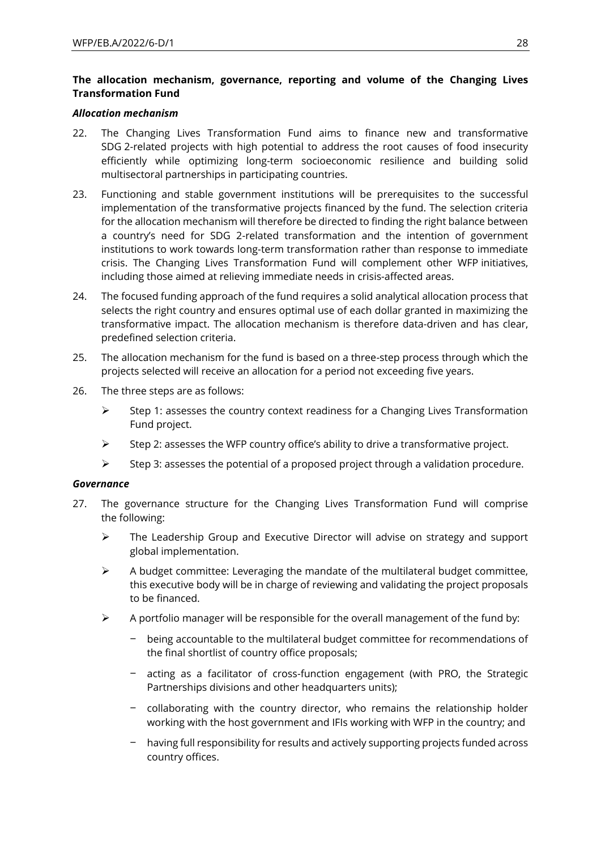## **The allocation mechanism, governance, reporting and volume of the Changing Lives Transformation Fund**

#### *Allocation mechanism*

- 22. The Changing Lives Transformation Fund aims to finance new and transformative SDG 2-related projects with high potential to address the root causes of food insecurity efficiently while optimizing long-term socioeconomic resilience and building solid multisectoral partnerships in participating countries.
- 23. Functioning and stable government institutions will be prerequisites to the successful implementation of the transformative projects financed by the fund. The selection criteria for the allocation mechanism will therefore be directed to finding the right balance between a country's need for SDG 2-related transformation and the intention of government institutions to work towards long-term transformation rather than response to immediate crisis. The Changing Lives Transformation Fund will complement other WFP initiatives, including those aimed at relieving immediate needs in crisis-affected areas.
- 24. The focused funding approach of the fund requires a solid analytical allocation process that selects the right country and ensures optimal use of each dollar granted in maximizing the transformative impact. The allocation mechanism is therefore data-driven and has clear, predefined selection criteria.
- 25. The allocation mechanism for the fund is based on a three-step process through which the projects selected will receive an allocation for a period not exceeding five years.
- 26. The three steps are as follows:
	- $\triangleright$  Step 1: assesses the country context readiness for a Changing Lives Transformation Fund project.
	- $\triangleright$  Step 2: assesses the WFP country office's ability to drive a transformative project.
	- ➢ Step 3: assesses the potential of a proposed project through a validation procedure.

#### *Governance*

- 27. The governance structure for the Changing Lives Transformation Fund will comprise the following:
	- ➢ The Leadership Group and Executive Director will advise on strategy and support global implementation.
	- $\triangleright$  A budget committee: Leveraging the mandate of the multilateral budget committee, this executive body will be in charge of reviewing and validating the project proposals to be financed.
	- $\triangleright$  A portfolio manager will be responsible for the overall management of the fund by:
		- − being accountable to the multilateral budget committee for recommendations of the final shortlist of country office proposals;
		- − acting as a facilitator of cross-function engagement (with PRO, the Strategic Partnerships divisions and other headquarters units);
		- − collaborating with the country director, who remains the relationship holder working with the host government and IFIs working with WFP in the country; and
		- − having full responsibility for results and actively supporting projects funded across country offices.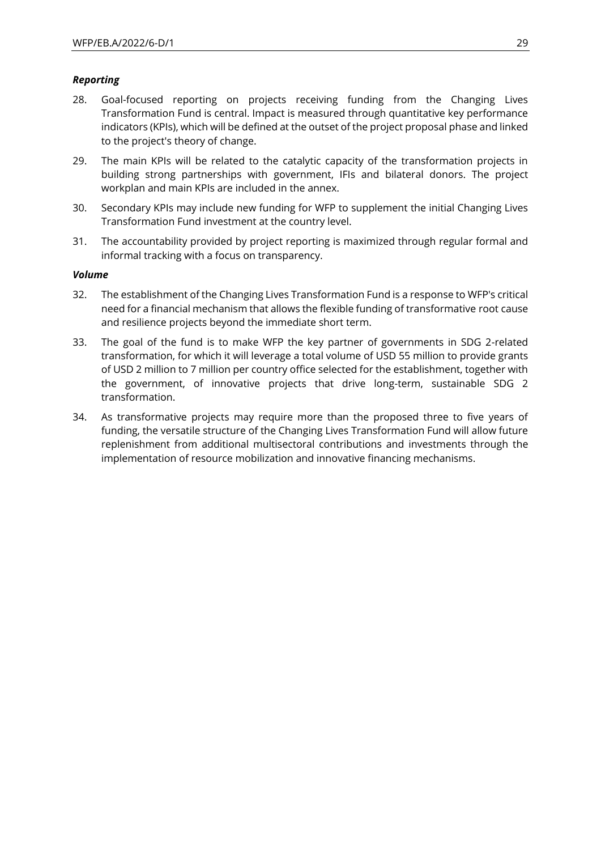### *Reporting*

- 28. Goal-focused reporting on projects receiving funding from the Changing Lives Transformation Fund is central. Impact is measured through quantitative key performance indicators (KPIs), which will be defined at the outset of the project proposal phase and linked to the project's theory of change.
- 29. The main KPIs will be related to the catalytic capacity of the transformation projects in building strong partnerships with government, IFIs and bilateral donors. The project workplan and main KPIs are included in the annex.
- 30. Secondary KPIs may include new funding for WFP to supplement the initial Changing Lives Transformation Fund investment at the country level.
- 31. The accountability provided by project reporting is maximized through regular formal and informal tracking with a focus on transparency.

#### *Volume*

- 32. The establishment of the Changing Lives Transformation Fund is a response to WFP's critical need for a financial mechanism that allows the flexible funding of transformative root cause and resilience projects beyond the immediate short term.
- 33. The goal of the fund is to make WFP the key partner of governments in SDG 2-related transformation, for which it will leverage a total volume of USD 55 million to provide grants of USD 2 million to 7 million per country office selected for the establishment, together with the government, of innovative projects that drive long-term, sustainable SDG 2 transformation.
- 34. As transformative projects may require more than the proposed three to five years of funding, the versatile structure of the Changing Lives Transformation Fund will allow future replenishment from additional multisectoral contributions and investments through the implementation of resource mobilization and innovative financing mechanisms.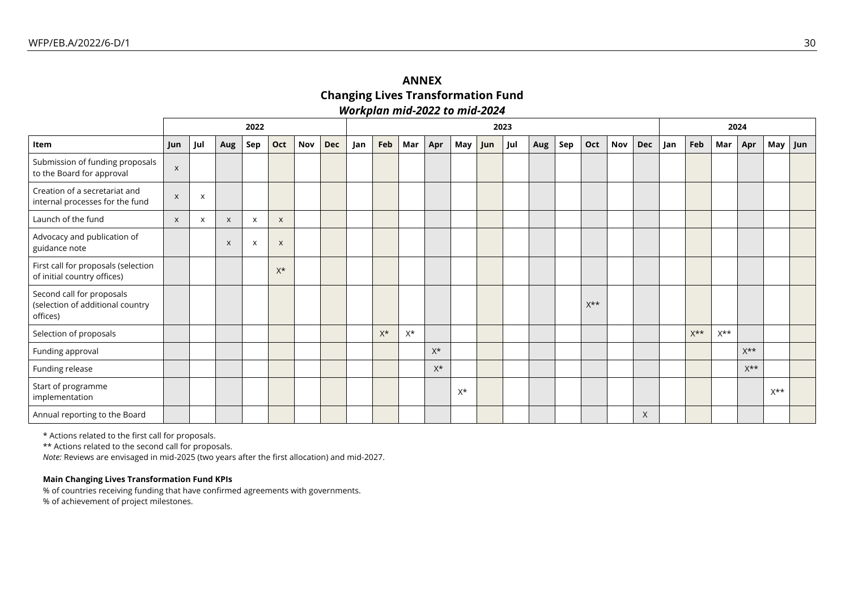# **ANNEX Changing Lives Transformation Fund** *Workplan mid-2022 to mid-2024*

|                                                                           |                           | 2022     |     |                           | 2023                      |     |            |     |       |       |       |       |     |     | 2024 |     |                  |     |            |     |                  |                  |                  |                  |     |
|---------------------------------------------------------------------------|---------------------------|----------|-----|---------------------------|---------------------------|-----|------------|-----|-------|-------|-------|-------|-----|-----|------|-----|------------------|-----|------------|-----|------------------|------------------|------------------|------------------|-----|
| Item                                                                      | Jun                       | Jul      | Aug | Sep                       | Oct                       | Nov | <b>Dec</b> | Jan | Feb   | Mar   | Apr   | May   | Jun | Jul | Aug  | Sep | Oct              | Nov | <b>Dec</b> | Jan | Feb              | Mar              | Apr              | May              | Jun |
| Submission of funding proposals<br>to the Board for approval              | $\boldsymbol{\mathsf{x}}$ |          |     |                           |                           |     |            |     |       |       |       |       |     |     |      |     |                  |     |            |     |                  |                  |                  |                  |     |
| Creation of a secretariat and<br>internal processes for the fund          | $\boldsymbol{\mathsf{X}}$ | $\times$ |     |                           |                           |     |            |     |       |       |       |       |     |     |      |     |                  |     |            |     |                  |                  |                  |                  |     |
| Launch of the fund                                                        | $\pmb{\times}$            | X        | X   | $\boldsymbol{\mathsf{x}}$ | $\boldsymbol{\mathsf{x}}$ |     |            |     |       |       |       |       |     |     |      |     |                  |     |            |     |                  |                  |                  |                  |     |
| Advocacy and publication of<br>guidance note                              |                           |          | X   | $\mathsf{X}$              | $\times$                  |     |            |     |       |       |       |       |     |     |      |     |                  |     |            |     |                  |                  |                  |                  |     |
| First call for proposals (selection<br>of initial country offices)        |                           |          |     |                           | $X^*$                     |     |            |     |       |       |       |       |     |     |      |     |                  |     |            |     |                  |                  |                  |                  |     |
| Second call for proposals<br>(selection of additional country<br>offices) |                           |          |     |                           |                           |     |            |     |       |       |       |       |     |     |      |     | $X^{\star\star}$ |     |            |     |                  |                  |                  |                  |     |
| Selection of proposals                                                    |                           |          |     |                           |                           |     |            |     | $X^*$ | $X^*$ |       |       |     |     |      |     |                  |     |            |     | $X^{\star\star}$ | $X^{\star\star}$ |                  |                  |     |
| Funding approval                                                          |                           |          |     |                           |                           |     |            |     |       |       | $X^*$ |       |     |     |      |     |                  |     |            |     |                  |                  | $X^{\star\star}$ |                  |     |
| Funding release                                                           |                           |          |     |                           |                           |     |            |     |       |       | $X^*$ |       |     |     |      |     |                  |     |            |     |                  |                  | $X^{\star\star}$ |                  |     |
| Start of programme<br>implementation                                      |                           |          |     |                           |                           |     |            |     |       |       |       | $X^*$ |     |     |      |     |                  |     |            |     |                  |                  |                  | $X^{\star\star}$ |     |
| Annual reporting to the Board                                             |                           |          |     |                           |                           |     |            |     |       |       |       |       |     |     |      |     |                  |     | $\times$   |     |                  |                  |                  |                  |     |

\* Actions related to the first call for proposals.

\*\* Actions related to the second call for proposals.

*Note:* Reviews are envisaged in mid-2025 (two years after the first allocation) and mid-2027.

#### **Main Changing Lives Transformation Fund KPIs**

% of countries receiving funding that have confirmed agreements with governments. % of achievement of project milestones.